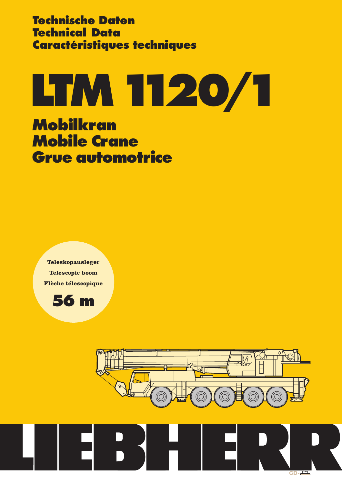**Technische Daten Technical Data Caractéristiques techniques**

# **LTM1120/1**

**Mobilkran Mobile Crane Grue automotrice**

**Teleskopausleger Telescopic boom Flèche télescopique**





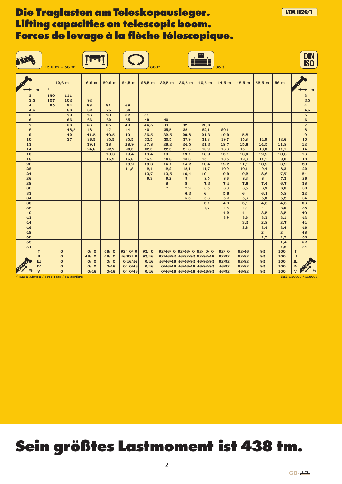|                                |                                | $12,6 m - 56 m$ |                             |                  |                   |                    | $360^\circ$  |                  |                                                           |                | 35t            |                                |                         |                | <b>DIN<br/>ISO</b>                                              |
|--------------------------------|--------------------------------|-----------------|-----------------------------|------------------|-------------------|--------------------|--------------|------------------|-----------------------------------------------------------|----------------|----------------|--------------------------------|-------------------------|----------------|-----------------------------------------------------------------|
|                                | m                              | 1)              | $12,6 \text{ m}$            | $16,6 \text{ m}$ | 20.6 <sub>m</sub> | 24,5 m             | $28,5$ m     | $32,5 \text{ m}$ | 36,5 m                                                    | $40,5$ m       | 44,5 m         | 48,5 m                         | $52.5 \text{ m}$        | 56 m           | m                                                               |
| $\bf{3}$                       |                                | 120             | 111                         |                  |                   |                    |              |                  |                                                           |                |                |                                |                         |                | $\bf{3}$                                                        |
| 3,5<br>$\overline{\mathbf{4}}$ |                                | 107<br>95       | 102<br>94                   | 92<br>88         | 81                | 69                 |              |                  |                                                           |                |                |                                |                         |                | 3,5<br>$\overline{\mathbf{4}}$                                  |
| 4,5                            |                                |                 | 86                          | 82               | 75                | 66                 |              |                  |                                                           |                |                |                                |                         |                | 4,5                                                             |
| $5\phantom{.0}$                |                                |                 | 79                          | 76               | 70                | 62                 | 51           |                  |                                                           |                |                |                                |                         |                | $5\phantom{.0}$                                                 |
| $\bf{6}$<br>$\overline{7}$     |                                |                 | 66<br>56                    | 66<br>56         | 62<br>55          | 55<br>49           | 49<br>44,5   | 40<br>38         | 32                                                        | 23,6           |                |                                |                         |                | $\bf{6}$<br>$\overline{\mathbf{7}}$                             |
| 8                              |                                |                 | 48,5                        | 48               | 47                | 44                 | 40           | 35,5             | 32                                                        | 22,1           | 20,1           |                                |                         |                | 8                                                               |
| 9                              |                                |                 | 42                          | 41,5             | 40,5              | 40                 | 36,5         | 32,5             | 29,8                                                      | 21,3           | 19,9           | 15,8                           |                         |                | $\pmb{9}$                                                       |
| 10                             |                                |                 | 37                          | 36,5             | 35,5              | 35,5               | 33,5         | 30,5             | 27,9                                                      | 21,3           | 19,7           | 15,8                           | 14,9                    | 12,6           | 10                                                              |
| 12                             |                                |                 |                             | 29,1             | 28                | 28,9               | 27,8         | 26,2             | 24,5                                                      | 21,3           | 18,7           | 15,6                           | 14,5                    | 11,8           | 12                                                              |
| 14                             |                                |                 |                             | 24,8             | 22,7              | 23,5               | 22,5         | 22,5             | 21,6                                                      | 18,9           | 16,8           | 15                             | 13,3                    | 11,1           | 14                                                              |
| 16                             |                                |                 |                             |                  | 18,3              | 19,4               | 18,4         | 19               | 19,1                                                      | 16,9           | 15,1           | 13,6                           | 12,2                    | 10,3           | 16<br>18                                                        |
| 18<br>20                       |                                |                 |                             |                  | 15,9              | 15,8<br>13,2       | 15,2<br>13,8 | 16,8<br>14,1     | 16,3<br>14,2                                              | 15<br>13,4     | 13,5<br>12,2   | 12,3<br>11,1                   | 11,1<br>10,2            | 9,6<br>8,9     | 20                                                              |
| 22                             |                                |                 |                             |                  |                   | 11,8               | 12,4         | 12,2             | 12,1                                                      | 11,7           | 10,9           | 10,1                           | 9,4                     | 8,3            | 22                                                              |
| 24                             |                                |                 |                             |                  |                   |                    | 10,7         | 10,5             | 10,4                                                      | 10             | 9,9            | 9,2                            | 8,6                     | 7,7            | 24                                                              |
| 26                             |                                |                 |                             |                  |                   |                    | 9,3          | 9,2              | $9\phantom{.0}$                                           | 8,5            | 8,6            | 8,3                            | 8                       | 7,2            | 26                                                              |
| 28                             |                                |                 |                             |                  |                   |                    |              | 8                | 8                                                         | 7,3            | 7,4            | 7,6                            | 7,4                     | 6,7            | 28                                                              |
| 30                             |                                |                 |                             |                  |                   |                    |              | $\overline{7}$   | 7,2                                                       | 6,5            | 6,3            | 6,5                            | 6,9                     | 6,3            | 30                                                              |
| 32                             |                                |                 |                             |                  |                   |                    |              |                  | 6,3                                                       | $6\phantom{1}$ | 5,6            | $6\phantom{1}$                 | 6,1                     | 5,8            | 32                                                              |
| 34                             |                                |                 |                             |                  |                   |                    |              |                  | 5,5                                                       | 5,6            | 5,2            | 5.6                            | 5,3                     | 5,2            | 34                                                              |
| 36                             |                                |                 |                             |                  |                   |                    |              |                  |                                                           | 5,1            | 4,8            | 5,1                            | 4,5                     | 4,5            | 36                                                              |
| 38                             |                                |                 |                             |                  |                   |                    |              |                  |                                                           | 4,7            | 4,5            | 4,4                            | $\overline{\mathbf{4}}$ | 3,9            | 38                                                              |
| 40<br>42                       |                                |                 |                             |                  |                   |                    |              |                  |                                                           |                | 4,2<br>3,9     | $\overline{\mathbf{4}}$<br>3,6 | 3,5<br>3,2              | 3,5<br>3,1     | 40<br>42                                                        |
| 44                             |                                |                 |                             |                  |                   |                    |              |                  |                                                           |                |                | 3,2                            | 2,8                     | 2,7            | 44                                                              |
| 46                             |                                |                 |                             |                  |                   |                    |              |                  |                                                           |                |                | 2,8                            | 2,4                     | 2,4            | 46                                                              |
| 48                             |                                |                 |                             |                  |                   |                    |              |                  |                                                           |                |                |                                | $\overline{2}$          | $\overline{2}$ | 48                                                              |
| 50                             |                                |                 |                             |                  |                   |                    |              |                  |                                                           |                |                |                                | 1,7                     | 1,7            | 50                                                              |
| 52                             |                                |                 |                             |                  |                   |                    |              |                  |                                                           |                |                |                                |                         | 1,4            | 52                                                              |
| 54                             |                                |                 |                             |                  |                   |                    |              |                  |                                                           |                |                |                                |                         | 1,2            | 54                                                              |
|                                | 1                              |                 | $\overline{0}$              | 0/0              | 46/0              | 92/ 0/ 0           | 92/0         |                  | $92/46/ 0$ 92/46/0 92/0 / 0                               |                | 92/0           | 92/46                          | 92                      | 100            | $\bf{I}$                                                        |
|                                | $\mathbf{I}$<br>$\overline{m}$ |                 | $\mathbf 0$<br>$\mathbf{o}$ | 46/0<br>O/ O     | 46/0              | 46/92/0            | 92/46        |                  | 92/46/92 46/92/92 92/92/46                                |                | 92/92          | 92/92                          | 92                      | 100<br>100     | $\scriptstyle\rm I\hspace{-.1em}I$                              |
|                                | $\overline{\textbf{IV}}$       |                 | $\mathbf{o}$                | O/ O             | O/ O<br>0/46      | 0/46/46<br>0/ 0/46 | 0/46<br>0/46 |                  | 46/46/46 46/46/92 46/92/92<br>$0/46/46$ 46/46/46 46/92/92 |                | 92/92<br>46/92 | 92/92<br>92/92                 | 92<br>92                | 100            | $\overline{\mathbf{m}}$<br>$\overline{\mathbf{I}^{\mathbf{V}}}$ |
|                                | $\overline{\mathbf{v}}$        |                 | $\mathbf 0$                 | 0/46             | 0/46              | 0/ 0/46            | 0/46         |                  | $0/46/46$ 46/46/46 46/46/92                               |                | 46/92          | 46/92                          | 92                      | 100            | $\overline{\textbf{v}}$                                         |
|                                |                                |                 |                             |                  |                   |                    |              |                  |                                                           |                |                |                                |                         |                |                                                                 |

 $\frac{1}{10}$ nach hinten / over rear / en arrière TAB 110096 / 110098 / 110098 / 110098 / 110098 / 110098 / 110098 / 110098 / 110098 / 110098 / 110098 / 110098 / 110098 / 110098 / 110098 / 110098 / 110098 / 110098 / 110098 /

**LTM1120/1**

# **Sein größtes Lastmoment ist 438 tm.**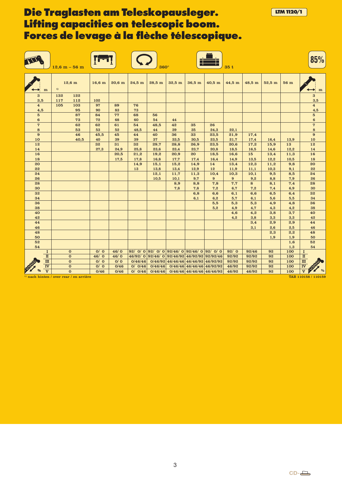|                             |                            | $12,6 m - 56 m$ |                                                    |             |              |            | $360^\circ$       |              |              |                                                                             | 35t           |                |              |            | 85%                                            |
|-----------------------------|----------------------------|-----------------|----------------------------------------------------|-------------|--------------|------------|-------------------|--------------|--------------|-----------------------------------------------------------------------------|---------------|----------------|--------------|------------|------------------------------------------------|
|                             | m                          | 1)              | $12,6$ m                                           | $16,6$ m    | 20,6 m       | 24,5 m     | 28,5 m            | 32,5 m       | 36,5 m       | 40,5 m                                                                      | 44,5 m        | 48,5 m         | $52,5$ m     | 56 m       | m                                              |
| $\bf{3}$<br>3,5             |                            | 132<br>117      | 122<br>112                                         | 102         |              |            |                   |              |              |                                                                             |               |                |              |            | $\bf{3}$<br>3,5                                |
| $\overline{\mathbf{4}}$     |                            | 105             | 103                                                | 97          | 89           | 76         |                   |              |              |                                                                             |               |                |              |            | $\overline{\mathbf{4}}$                        |
| 4,5                         |                            |                 | 95                                                 | 90          | 83           | 73         |                   |              |              |                                                                             |               |                |              |            | 4,5                                            |
| ${\bf 5}$<br>$6\phantom{1}$ |                            |                 | 87<br>73                                           | 84<br>72    | 77<br>68     | 68<br>60   | 56<br>54          | 44           |              |                                                                             |               |                |              |            | ${\bf 5}$<br>$6\phantom{1}$                    |
| $\boldsymbol{7}$            |                            |                 | 62                                                 | 62          | 61           | 54         | 48,5              | 42           | 35           | 26                                                                          |               |                |              |            | $\boldsymbol{7}$                               |
| 8                           |                            |                 | 53                                                 | 53          | 52           | 48,5       | 44                | 39           | 35           | 24,3                                                                        | 22,1          |                |              |            | 8                                              |
| $\bf{9}$                    |                            |                 | 46                                                 | 45,5        | 45           | 44         | 40                | 36           | 33           | 23,5                                                                        | 21,9          | 17,4           |              |            | $\bf{9}$                                       |
| 10<br>12                    |                            |                 | 40,5                                               | 40<br>32    | 39<br>31     | 39<br>32   | 37<br>29,7        | 33,5<br>28,8 | 30,5<br>26,9 | 23,5<br>23,5                                                                | 21,7<br>20,6  | 17,4<br>17,2   | 16,4<br>15,9 | 13,9<br>13 | 10<br>12                                       |
| 14                          |                            |                 |                                                    | 27,3        | 24,9         | 25,8       | 23,6              | 23,4         | 23,7         | 20,8                                                                        | 18,5          | 16,5           | 14,6         | 12,2       | 14                                             |
| 16                          |                            |                 |                                                    |             | 20,5         | 21,2       | 19,2              | 20,9         | 20           | 18,5                                                                        | 16,6          | 15             | 13,4         | 11,3       | 16                                             |
| 18                          |                            |                 |                                                    |             | 17,5         | 17,8       | 16,8              | 17,7         | 17,4         | 16,4                                                                        | 14,9          | 13,5           | 12,2         | 10,5       | 18<br>20                                       |
| 20<br>22                    |                            |                 |                                                    |             |              | 14,9<br>13 | 15,1<br>13,8      | 15,2<br>13,4 | 14,9<br>12,9 | 14<br>12                                                                    | 13,4<br>11,9  | 12,3<br>11,1   | 11,2<br>10,3 | 9,8<br>9,1 | 22                                             |
| 24                          |                            |                 |                                                    |             |              |            | 12,1              | 11,7         | 11,3         | 10,4                                                                        | 10,3          | 10,1           | 9,5          | 8,5        | 24                                             |
| 26                          |                            |                 |                                                    |             |              |            | 10,5              | 10,1         | 9,7          | $\boldsymbol{9}$                                                            | 9             | 9,2            | 8,8          | 7,9        | 26                                             |
| 28<br>30                    |                            |                 |                                                    |             |              |            |                   | 8,9<br>7,8   | 8,8<br>7,8   | 7,8<br>7,2                                                                  | 7,7           | 8<br>7,2       | 8,1<br>7,4   | 7,4<br>6,9 | 28<br>30                                       |
| 32                          |                            |                 |                                                    |             |              |            |                   |              | 6,8          | 6,6                                                                         | 6,7<br>6,1    | 6,6            | 6,5          | 6,4        | 32                                             |
| 34                          |                            |                 |                                                    |             |              |            |                   |              | 6,1          | 6,2                                                                         | 5,7           | 6,1            | 5,6          | 5,5        | 34                                             |
| 36                          |                            |                 |                                                    |             |              |            |                   |              |              | 5,5                                                                         | 5,3           | 5,3            | 4,9          | 4,8        | 36                                             |
| 38<br>40                    |                            |                 |                                                    |             |              |            |                   |              |              | 5,2                                                                         | 4,9<br>4,6    | 4,7<br>4,2     | 4,3<br>3,8   | 4,2<br>3,7 | 38<br>40                                       |
| 42                          |                            |                 |                                                    |             |              |            |                   |              |              |                                                                             | 4,2           | 3,8            | 3,3          | 3,3        | 42                                             |
| 44                          |                            |                 |                                                    |             |              |            |                   |              |              |                                                                             |               | 3,4            | 2,9          | 2,9        | 44                                             |
| 46                          |                            |                 |                                                    |             |              |            |                   |              |              |                                                                             |               | 3,1            | 2,6          | 2,5        | 46                                             |
| 48<br>50                    |                            |                 |                                                    |             |              |            |                   |              |              |                                                                             |               |                | 2,3<br>1,9   | 2,2<br>1,9 | 48<br>50                                       |
| 52                          |                            |                 |                                                    |             |              |            |                   |              |              |                                                                             |               |                |              | 1,6        | 52                                             |
| 54                          |                            |                 |                                                    |             |              |            |                   |              |              |                                                                             |               |                |              | 1,3        | 54                                             |
|                             | $\mathbf I$<br>$\mathbf n$ |                 | $\bf{0}$<br>$\mathbf{o}$                           | 0/0<br>46/0 | 46/0<br>46/0 |            | $46/92/0$ 92/46/0 |              |              | $92/ 0/ 0 92/ 0/ 0 92/46/ 0 92/46/ 0 92/ 0 0$<br>92/46/92 46/92/92 92/92/46 | 92/0<br>92/92 | 92/46<br>92/92 | 92<br>92     | 100<br>100 | $\bf{I}$<br>$\scriptstyle\rm I\hspace{-.1em}I$ |
|                             | $\mathbf{m}$               |                 | $\mathbf{o}$                                       | 0/0         | O/ O         | 0/46/46    | 0/46/92           |              |              | 46/46/46 46/46/92 46/92/92                                                  | 92/92         | 92/92          | 92           | 100        | $\overline{\mathbf{m}}$                        |
|                             | $\overline{\mathbf{N}}$    |                 | $\mathbf 0$                                        | O/ O        | 0/46         | 0/ 0/46    | 0/46/46           |              |              | $0/46/46$ 46/46/46 46/92/92                                                 | 46/92         | 92/92          | 92           | 100        | $\overline{\text{IV}}$                         |
|                             | $\overline{\mathbf{v}}$    |                 | $\overline{0}$                                     | 0/46        | 0/46         | 0/ 0/46    | 0/46/46           |              |              | $0/46/46$ 46/46/46 46/46/92                                                 | 46/92         | 46/92          | 92           | 100        | $\overline{\mathbf{V}}$                        |
|                             |                            |                 | <sup>1)</sup> nach hinten / over rear / en arrière |             |              |            |                   |              |              |                                                                             |               |                |              |            | TAB 110158 / 110159                            |

**LTM1120/1**

3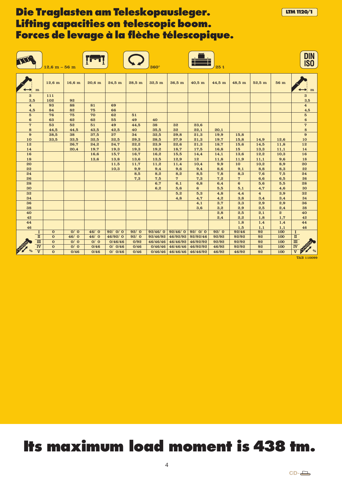|                                |                                                                                    | $12.6 m - 56 m$ |                  |              |                    |              | $360^\circ$          |                      |                      | 25t            |                 |                                |                       | <b>DIN<br/>ISO</b>                                                             |
|--------------------------------|------------------------------------------------------------------------------------|-----------------|------------------|--------------|--------------------|--------------|----------------------|----------------------|----------------------|----------------|-----------------|--------------------------------|-----------------------|--------------------------------------------------------------------------------|
|                                | $12,6 \text{ m}$<br>m                                                              |                 | $16,6 \text{ m}$ | $20,6$ m     | $24,5$ m           | $28,5$ m     | $32,5$ m             | 36,5 m               | $40,5$ m             | 44,5 m         | 48,5 m          | $52,5$ m                       | 56 m                  | m                                                                              |
| $\bf{3}$<br>3,5                | 111<br>102                                                                         |                 | 92               |              |                    |              |                      |                      |                      |                |                 |                                |                       | $\bf{3}$<br>3,5                                                                |
| $\overline{\mathbf{4}}$<br>4,5 | 93<br>84                                                                           |                 | 88<br>82         | 81<br>75     | 69<br>66           |              |                      |                      |                      |                |                 |                                |                       | $\overline{\mathbf{4}}$<br>4,5                                                 |
| ${\bf 5}$<br>$6\phantom{1}$    | 76<br>63                                                                           |                 | 75<br>62         | 70<br>62     | 62<br>55           | 51<br>49     | 40                   |                      |                      |                |                 |                                |                       | $\mathbf 5$<br>$\bf{6}$                                                        |
| $\overline{7}$<br>8            | 53<br>44,5                                                                         |                 | 52<br>44,5       | 51<br>43,5   | 49<br>42,5         | 44,5<br>40   | 38<br>35,5           | 32<br>32             | 23,6<br>22,1         | 20,1           |                 |                                |                       | $\boldsymbol{7}$<br>8                                                          |
| 9<br>10                        | 38,5<br>33,5                                                                       |                 | 38<br>33,5       | 37,5<br>32,5 | 37<br>32,5         | 34<br>29,3   | 32,5<br>28,5         | 29,8<br>27,9         | 21,3<br>21,3         | 19,9<br>19,7   | 15,8<br>15,8    | 14,9                           | 12,6                  | $\bf{9}$<br>10                                                                 |
| 12<br>14                       |                                                                                    |                 | 26,7<br>20,4     | 24,2<br>19,7 | 24,7<br>19,3       | 22,2<br>19,3 | 23,9<br>19,2         | 22,6<br>18,7         | 21,3<br>17,5         | 18,7<br>16,8   | 15,6<br>15      | 14,5<br>13,3                   | 11,8<br>11,1          | 12<br>14                                                                       |
| 16<br>18                       |                                                                                    |                 |                  | 16,6<br>13,6 | 15,7<br>13,8       | 16,7<br>13,6 | 16,2<br>13,5         | 15,5<br>12,9         | 14,4<br>12           | 14,1<br>11,8   | 13,6<br>11,9    | 12,2<br>11,1                   | 10,3<br>9,6           | 16<br>18                                                                       |
| 20<br>22                       |                                                                                    |                 |                  |              | 11,5<br>10,3       | 11,7<br>9,9  | 11,2<br>9,4          | 11,4<br>9,6          | 10,4<br>9,4          | 9,9<br>8,6     | 10<br>9,1       | 10,2<br>8,8                    | 8,9<br>8,3            | 20<br>22                                                                       |
| 24<br>26                       |                                                                                    |                 |                  |              |                    | 8,5<br>7,3   | 8,2<br>7,5           | 8,2<br>7             | 8,5<br>7,3           | 7,8<br>7,2     | 8,3<br>7        | 7,6<br>6,6                     | 7,5<br>6,5            | 24<br>26                                                                       |
| 28<br>30                       |                                                                                    |                 |                  |              |                    |              | 6,7<br>6,2           | 6,1<br>5,6           | 6,8<br>$\bf{6}$      | 6,4<br>5,5     | $\bf{6}$<br>5,1 | 5,6<br>4,7                     | 5,5<br>4,6            | 28<br>30                                                                       |
| 32<br>34                       |                                                                                    |                 |                  |              |                    |              |                      | 5,2                  | 5,3                  | 4,8            | 4,4             | $\overline{\mathbf{4}}$<br>3,4 | 3,9                   | 32<br>34                                                                       |
| 36                             |                                                                                    |                 |                  |              |                    |              |                      | 4,8                  | 4,7<br>4,1           | 4,2<br>3,7     | 3,8<br>3,3      | 2,9                            | 3,4<br>2,9            | 36                                                                             |
| 38<br>40                       |                                                                                    |                 |                  |              |                    |              |                      |                      | 3,6                  | 3,2<br>2,8     | 2,9<br>2,5      | 2,5<br>2,1                     | 2,4<br>$\overline{2}$ | 38<br>40                                                                       |
| 42<br>44                       |                                                                                    |                 |                  |              |                    |              |                      |                      |                      | 2,4            | 2,2<br>1,8      | 1,8<br>1,4                     | 1,7<br>1,4            | 42<br>44                                                                       |
| 46                             | $\mathbf{0}$<br>$\bf I$                                                            |                 | $\overline{O/O}$ | 46/0         | 92/0/0             | 92/0         | 92/46/0              | 92/46/0              | 92/0/0               | 92/0           | 1,5<br>92/46    | 1,1<br>92                      | 1,1<br>100            | 46<br>$\bf I$                                                                  |
|                                | $\rm I\hspace{-0.5mm}I$<br>$\mathbf{o}$<br>$\overline{\mathbf{m}}$<br>$\mathbf{o}$ |                 | 46/0<br>O/ O     | 46/0<br>0/0  | 46/92/0<br>0/46/46 | 92/0<br>0/92 | 92/46/92<br>46/46/46 | 46/92/92<br>46/46/92 | 92/92/46<br>46/92/92 | 92/92<br>92/92 | 92/92<br>92/92  | 92<br>92                       | 100<br>100            | $\rm I\hspace{-.1em}I$<br>$\overline{\text{m}}$                                |
|                                | $\overline{\text{IV}}$<br>$\mathbf 0$<br>$\overline{\mathbf{v}}$<br>$\mathbf{o}$   |                 | O/ O<br>0/46     | 0/46<br>0/46 | 0/0/46<br>0/ 0/46  | 0/46<br>0/46 | 0/46/46<br>0/46/46   | 46/46/46<br>46/46/46 | 46/92/92<br>46/46/92 | 46/92<br>46/92 | 92/92<br>46/92  | 92<br>92                       | 100<br>100            | $\overline{\textbf{I}^{\textbf{V}}}$<br><b>DOWN</b><br>$\overline{\mathbf{v}}$ |

TAB 110099

**LTM1120/1**

# **Its maximum load moment is 438 tm.**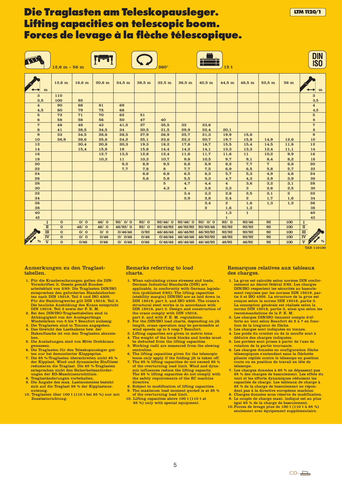DIN TI **ISO**  $12.6 \text{ m}$  – 56 m  $\left(\begin{array}{ccc} & \bullet & \bullet \\ \bullet & \bullet & \end{array}\right)$  360° 15 t  $12,6$  m  $\vert$   $16,6$  m  $\vert$   $20,6$  m  $\vert$   $24,5$  m  $\vert$   $28,5$  m  $\vert$   $32,5$  m  $\vert$   $36,5$  m  $\vert$   $40,5$  m  $\vert$   $44,5$  m  $\vert$   $48,5$  m  $\vert$   $52,5$  m  $\vert$   $56$  m m | | | | | | | | | | | | | | | | | <del>| ◆</del> | m 3 110 3 3,5 100 92 3,5  $\overline{81}$  $\overline{69}$  $\overline{90}$ 88 4 4 4,5 80 79 75 66 4,5 5 72 71 70 62 51 5 6 58 58 56  $50$ 47 40 6 35,5 32 23,6 7 48 48 43 41,5 37 7 8 41 38,5 34,5 34 30,5 31,5 29,9 22,4 20,1 8 15,8 9 33 34,5 28,6 28,5 27,9 26,9 25,7 21,3 19,9 9 10 26,9 28,6 25,8 24,2 25,1 23,6 22,3 20,7 19,7 15,8 14,9 12,6 10 12 20,4 20,8 20,3 19,3 18,2 17,8 16,7 15,5 15,4 14,5 11,8 12 14 15,4 15,8 16 15,8 14,4 14,2 14,1 13,3 13,3 12,4 11,1 14  $16$ 12,7 13,5 12,8 12,4 11,6 11,7 11,6 11  $10.2$ 9,9 16 18 10,3 11 10,3 10,7 9,8 10,5 9,7 9,1 8,4 8,2 18  $20$ 9,2 8,9  $9<sub>5</sub>$ 8,8 8,9  $8,9$ 7,7 7 6,8  $20$ 22 7,7 7,8 8 7,7 7,5 6,9 6,5 5,8 5,7 22  $24$ 6,6 6,8 6,5 6,3 5,7 5,3 4,9 4,8  $\overline{24}$  $26$ 5,6 5,8 5,5 5,3 4,7 4,3 3,9 3,9  $26$ 4,7 28 5 4,4 4 3,6 3,2 3,1 28 30 4,3 4 3,8 3,3 3 2,6 2,5 30 3,4 2,5 32 3,3 2,8 2,1 2 32 34 2,9 2,8  $2,4$ 2 1,6 34 1,7 36 2,4 2 1,6 1,3 1,2 36 38 2 1,6 1,3 38 40 1,3 1 40 42 42  $\frac{1}{92/0}$  $\overline{\Omega}$  $\overline{O/O}$  $46/0$ 92/ 0/ 0  $92/0$ 92/46 92  $\overline{100}$ I I 92/46/ 0 | 92/46/ 0 | 92/ 0/ 0 II 0 46/ 0 46/ 0 46/92/ 0 92/ 0 92/46/92 92/92 92/92 92 100  $\overline{\mathbf{u}}$ 46/92/92 92/92/46  $\overline{\mathbf{m}}$  $\overline{\Omega}$  $0/0$  $\overline{0/\overline{0}}$ 0/46/46  $0/92$ 46/46/46 92/92 92/92 92 100  $\overline{\mathbf{m}}$ 46/46/92 46/92/92 IV  $\overline{\mathbf{o}}$  $0/0$ 0/46  $0/ 0/46$ 0/46 0/46/46 46/92 92/92 92 100 IV 46/46/46 46/92/92  $\sqrt[6]{\text{V}}$  0  $\sqrt[6]{6}$  0/46 0/46 0/0/46 0/46 0/46 0/46/46 46/46/46 46/46/48 46/46/92 46/92 46/92 92 100  $\sqrt[3]{\text{V}}$  %  $\overline{\mathbf{v}}$ 0/46 0/46 0/ 0/46 0/46 0/46/46 46/92 46/92 92 100  $\overline{\mathbf{v}}$  $\overline{\mathbf{o}}$ 

TAB 110100

**LTM1120/1**

#### Anmerkungen zu den Traglasttabellen.

- 1. Für die Kranberechnungen gelten die DIN-Vorschriften lt. Gesetz gemäß Bundes-arbeitsblatt von 2/85: Die Traglasten DIN/ISO entsprechen den geforderten Standsicherheiten nach DIN 15019, Teil 2 und ISO 4305. Für die Stahltragwerke gilt DIN 15018, Teil 3. Die bauliche Ausbildung des Krans entspricht DIN 15018, Teil 2 sowie der F. E. M. 2. Bei den DIN/ISO-Traglasttabellen sind in
- Abhängigkeit von der Auslegerlänge Windstärken von 5 bis 7 Beaufort zulässig.
- 3. Die Traglasten sind in Tonnen angegeben. 4. Das Gewicht des Lasthakens bzw. der Hakenflasche ist von den Traglasten abzuzie-
- hen. 5. Die Ausladungen sind von Mitte Drehkranz gemessen.
- 6. Die Traglasten für den Teleskopausleger gel-
- ten nur bei demontierter Klappspitze. 7. Die 85 %-Traglasten überschreiten nicht 85 % der Kipplast. Wind und dynamische Einflüsse reduzieren die Traglast. Die 85 %-Traglasten entsprechen nicht den Sicherheitsanforderungen der EG-Maschinenrichtlinie
- 8. Traglaständerungen vorbehalten. 9. Die Angabe des max. Lastmomentes bezieht
- sich auf die Traglast 85 % der Kipplastausnutzung.
- 10. Traglasten über 100 t (110 t bei 85 %) nur mit Zusatzeinrichtung

#### Remarks referring to load charts.

- 1. When calculating crane stresses and loads,<br>German Industrial Standards (DIN) are German Industrial Standards (DIN) are applicable, in conformity with German legisla-tion (published 2/85): The lifting capacities (stability margin) DIN/ISO are as laid down in DIN 15019, part 2, and ISO 4305. The crane's structural steel works is in accordance with DIN 15018, part 3. Design and construction of the crane comply with DIN 15018, part 2, and with F. E. M. regulations. 2. For the DIN/ISO load charts, depending on jib
- length, crane operation may be permissible at wind speeds up to 5 resp.7 Beaufort.
- 3. Lifting capacities are given in metric tons. 4. The weight of the hook blocks and hooks must
- be deducted from the lifting capacities. 5. Working radii are measured from the slewing centreline.
- 6. The lifting capacities given for the telescopic boom only apply if the folding jib is taken off.
- 7. The 85 % lifting capacities do not exceed 85 % of the overturning load limit. Wind and dynamic influences reduce the lifting capacity. The 85 % lifting capacities do not comply with the safety requirements of the EC machine directive.
- Subject to modification of lifting capacities The maximum load moment quoted is at 85 %
- of the overturning load limit. 10. Lifting capacities above 100 t (110 t at 85 %) only with special equipment.

#### Remarques relatives aux tableaux des charges.

- 1. La grue est calculée selon normes DIN conformément au décret fédéral 2/85. Les charges DIN/ISO respectent les sécurités au basculement requises par les normes DIN 15019, partie 2 et ISO 4305. La structure de la grue est conçue selon la norme DIN 15018, partie 3. La conception générale est réalisée selon la norme DIN 15018, partie 2, ainsi que selon les recommandations de la F. E. M.
- 2. Les charges DIN/ISO tiennent compte d'ef-forts au vent selon Beaufort de 5 à 7 en fonc-
- tion de la longueur de flèche. 3. Les charges sont indiquées en tonnes.
- 4. Les poids du crochet ou de la moufle sont à déduire des charges indiquées.
- 5. Les portées sont prises à partir de l'axe de rotation de la partie tournante.
- Les charges données en configuration flèche télescopiques s'entendent sans la fléchette pliante repliée contre le télescope en position route ou en position de travail en tête de télescope.
- 7. Les charges données à 85 % ne dépassent pas 85 % des charges de basculement. Les effets du vent et les efforts dynamiques réduisent les capacités de charge. Les tableaux de charge à 85 % de la charge de basculement ne répondent pas à la directive européene machine.
- 8. Charges données sous réserve de modification. 9. Le couple de charge maxi. indiqué est au plus égal 85 % de la charge de basculement.
- 10. Forces de levage plus de 100 t (110 t à 85 %) seulement avec équipement supplémentaire.

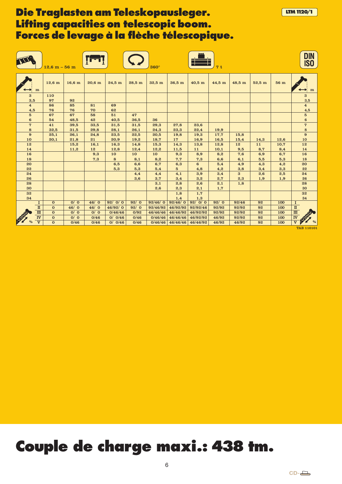|                                         | $12,6 m - 56 m$              |                  |              |                   |              | $360^\circ$         |                        |                      | 7t                |                |                  |             | <b>DIN</b><br><b>ISO</b>                      |
|-----------------------------------------|------------------------------|------------------|--------------|-------------------|--------------|---------------------|------------------------|----------------------|-------------------|----------------|------------------|-------------|-----------------------------------------------|
| m                                       | $12,6 \text{ m}$             | $16,6 \text{ m}$ | $20,6$ m     | $24.5$ m          | $28,5$ m     | $32.5 \text{ m}$    | $36,5 \text{ m}$       | $40,5$ m             | 44,5 m            | 48,5 m         | $52.5 \text{ m}$ | 56 m        | m                                             |
| 3<br>3,5                                | 110<br>97                    | 92               |              |                   |              |                     |                        |                      |                   |                |                  |             | $\bf{3}$<br>3,5                               |
| $\overline{\mathbf{4}}$<br>4,5          | 86<br>76                     | 85<br>76         | 81<br>70     | 69<br>62          |              |                     |                        |                      |                   |                |                  |             | $\overline{\mathbf{4}}$<br>4,5                |
| $5\phantom{.0}$<br>$\bf{6}$             | 67<br>54                     | 67<br>48,5       | 58<br>42     | 51<br>40,5        | 47<br>36,5   | 36                  |                        |                      |                   |                |                  |             | $\mathbf 5$<br>$\bf 6$                        |
| $\overline{7}$<br>${\bf 8}$             | 41<br>32,5                   | 39,5<br>31,5     | 33,5<br>29,8 | 31,5<br>28,1      | 31,5<br>26,1 | 29,3<br>24,3        | 27,8<br>23,3           | 23,6<br>22,4         | 19,9              |                |                  |             | $\overline{\mathbf{7}}$<br>$\bf8$             |
| 9<br>10                                 | 25,1<br>20,1                 | 26,1<br>21,8     | 24,8<br>21   | 23,5<br>20,9      | 22,5<br>19,2 | 20,5<br>18,7        | 19,8<br>17             | 19,3<br>16,9         | 17,7<br>16,5      | 15,8<br>15,4   | 14,3             | 12,6        | 9<br>10                                       |
| 12<br>14                                |                              | 15,2<br>11,2     | 16,1<br>12   | 16,3<br>12,8      | 14,8<br>12,4 | 15,3<br>12,2        | 14,3<br>11,5           | 13,8<br>11           | 12,8<br>10,1      | 12<br>9,5      | 11<br>8,7        | 10,7<br>8,4 | 12<br>14                                      |
| 16<br>18                                |                              |                  | 9,3<br>7,3   | 10<br>8           | 10<br>8,1    | 10<br>8,2           | 9,3<br>7,7             | 8,9<br>7,3           | 8,2<br>6,6        | 7,6<br>6,1     | 6,9<br>5,5       | 6,7<br>5,3  | 16<br>18                                      |
| 20<br>22                                |                              |                  |              | 6,5<br>5,3        | 6,6<br>5,3   | 6,7<br>5,4          | 6,3<br>$5\overline{)}$ | 6<br>4,8             | 5,4<br>4,2        | 4,9<br>3,8     | 4,3<br>3,4       | 4,2<br>3,3  | 20<br>22                                      |
| 24<br>26                                |                              |                  |              |                   | 4,4          | 4,4<br>3.7          | 4,1                    | 3,9                  | 3,4               | 3              | 2,6              | 2,5         | 24                                            |
| 28<br>30                                |                              |                  |              |                   | 3,6          | 3,1<br>2.6          | 3,4<br>2,8<br>2,3      | 3,2<br>2,6<br>2,1    | 2,7<br>2,1<br>1,7 | 2,3<br>1,8     | 1,9              | 1,9         | 26<br>28<br>30                                |
| 32<br>34                                |                              |                  |              |                   |              |                     | 1,8<br>1,4             | 1,7<br>1,3           |                   |                |                  |             | 32<br>34                                      |
| $\mathbf{I}$                            | $\mathbf{0}$                 | 0/0              | 46/0         | 92/0/0            | 92/0         | 92/46/0             | 92/46/0                | 92/0/0               | 92/0              | 92/46          | 92               | 100         | $\mathbf I$                                   |
| $\mathbf n$                             | $\mathbf{0}$                 | 46/0             | 46/0         | 46/92/0           | 92/0         | 92/46/92            | 46/92/92               | 92/92/46             | 92/92             | 92/92          | 92               | 100         | $\rm I\hspace{-.1em}I$                        |
| $\mathbf m$<br>$\overline{\textbf{IV}}$ | $\mathbf{0}$<br>$\mathbf{0}$ | O/ O<br>O/ O     | O/ O<br>0/46 | 0/46/46<br>0/0/46 | 0/92<br>0/46 | 46/46/46<br>0/46/46 | 46/46/92<br>46/46/46   | 46/92/92<br>46/92/92 | 92/92<br>46/92    | 92/92<br>92/92 | 92<br>92         | 100<br>100  | $\frac{\text{I}\text{I}\text{I}}{\text{IV}}$  |
| $\overline{\mathbf{v}}$                 | $\mathbf{O}$                 | 0/46             | 0/46         | 0/ 0/46           | 0/46         | 0/46/46             | 46/46/46               | 46/46/92             | 46/92             | 46/92          | 92               | 100         | <b>DESCRIPTION</b><br>$\overline{\mathbf{v}}$ |

TAB 110101

**LTM1120/1**

# **Couple de charge maxi.: 438 tm.**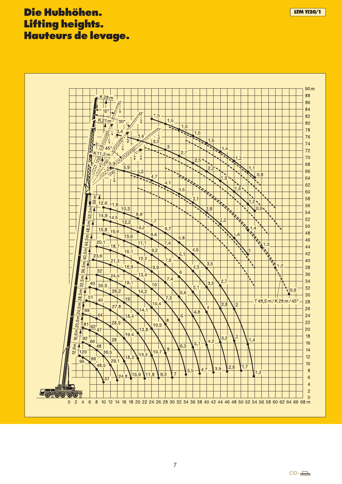### **Die Hubhöhen. Lifting heights. Hauteurs de levage.**

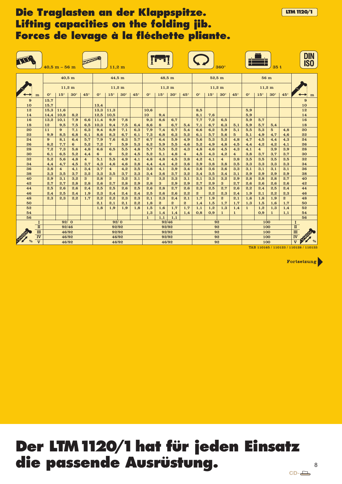### **Die Traglasten an der Klappspitze. Lifting capacities on the folding jib. Forces de levage à la fléchette pliante.**

|                  |                                                    |                      | $40.5 m - 56 m$ |                  |                         |                | $11,2 \text{ m}$        |            |            |                      |                       |                       |                         |                |                  | $360^\circ$           |                                                                 |                         |                         | 35t              |                       |   | DIN<br><b>ISO</b> |
|------------------|----------------------------------------------------|----------------------|-----------------|------------------|-------------------------|----------------|-------------------------|------------|------------|----------------------|-----------------------|-----------------------|-------------------------|----------------|------------------|-----------------------|-----------------------------------------------------------------|-------------------------|-------------------------|------------------|-----------------------|---|-------------------|
|                  |                                                    |                      |                 | 40,5 m           |                         |                | 44,5 m                  |            |            |                      | 48,5 m                |                       |                         |                | 52,5m            |                       |                                                                 |                         |                         | 56 m             |                       |   |                   |
|                  |                                                    |                      |                 | $11,2 \text{ m}$ |                         |                | $11,2 \text{ m}$        |            |            |                      | $11,2 \text{ m}$      |                       |                         |                | $11,2 \text{ m}$ |                       |                                                                 |                         |                         | $11,2 \text{ m}$ |                       |   |                   |
|                  | m                                                  | $\mathbf{O}^{\circ}$ | $15^\circ$      | $30^\circ$       | $45^\circ$              | $0^{\circ}$    | $15^{\circ}$            | $30^\circ$ | $45^\circ$ | $\mathbf{O}^{\circ}$ | $15^{\circ}$          | $30^\circ$            | $45^\circ$              | $0^{\circ}$    | $15^\circ$       | $30^\circ$            | $45^\circ$                                                      | $0^{\circ}$             | $15^\circ$              | $30^\circ$       | $45^\circ$            |   | m                 |
| $\boldsymbol{9}$ |                                                    | 15,7                 |                 |                  |                         |                |                         |            |            |                      |                       |                       |                         |                |                  |                       |                                                                 |                         |                         |                  |                       |   | 9                 |
| 10               |                                                    | 15,7                 |                 |                  |                         | 13,4           |                         |            |            |                      |                       |                       |                         |                |                  |                       |                                                                 |                         |                         |                  |                       |   | 10                |
| 12               |                                                    | 15,3                 | 11,6            |                  |                         | 13,3           | 11,3                    |            |            | 10,6                 |                       |                       |                         | 8,5            |                  |                       |                                                                 | 5,9                     |                         |                  |                       |   | 12                |
| 14               |                                                    | 14,4                 | 10,8            | 8.2              |                         | 12.5           | 10,5                    |            |            | 10                   | 9.4                   |                       |                         | 8.1            | 7.6              |                       |                                                                 | 5.9                     |                         |                  |                       |   | 14                |
| 16               |                                                    | 13,2                 | 10,1            | 7,9              | 6,6                     | 11,4           | 9,9                     | 7,8        |            | 9,3                  | 8,6                   | 6,7                   |                         | 7,7            | 7,2              | 6,5                   |                                                                 | 5,9                     | 5,7                     |                  |                       |   | 16                |
| 18               |                                                    | 12                   | 9,5             | 7,5              | 6,5                     | 10,3           | 9,4                     | 7,5        | 6,4        | 8,6                  | 8                     | 6,7                   | 5,4                     | 7,1            | 6,7              | 6,3                   | 5,1                                                             | 5,9                     | 5,7                     | 5,4              |                       |   | 18                |
| 20<br>22         |                                                    | 11<br>9.9            | 9               | 7,1<br>6,8       | 6,3                     | 9,4<br>8.6     | 8,9                     | 7,1<br>6.7 | 6,3        | 7,9<br>7.3           | 7,4<br>6,8            | 6,7                   | 5,4<br>5,2              | 6,6            | 6,2<br>5,7       | 5,9                   | 5,1<br>$5\overline{a}$                                          | 5,5                     | 5,3                     | $5\overline{5}$  | 4,8                   |   | 20<br>22          |
| 24               |                                                    | 9                    | 8,5<br>8,1      | 6,4              | 6,1<br>5,7              | 7,9            | 8,3<br>7,6              | 6,3        | 6,1<br>5,7 | 6,7                  | 6,4                   | 6,3<br>5,9            | 4,9                     | 6,1<br>5,6     | 5,3              | 5,6<br>5,2            | 4,8                                                             | 5,1<br>4,7              | 4,9<br>4,5              | 4,7<br>4,4       | 4,6<br>4,3            |   | 24                |
| 26               |                                                    | 8,2                  | 7,7             | $6\phantom{1}6$  | 5,2                     | 7,2            | 7                       | 5,9        | 5,3        | 6,2                  | 5,9                   | 5,5                   | 4,6                     | 5,2            | 4,9              | 4,8                   | 4,5                                                             | 4,4                     | 4,2                     | 4,2              | 4,1                   |   | 26                |
| 28               |                                                    | 7,2                  | 7,3             | 5,6              | 4,8                     | 6,6            | 6,5                     | 5,5        | 4,8        | 5,7                  | 5,5                   | 5,2                   | 4,3                     | 4,8            | 4,6              | 4,5                   | 4,3                                                             | 4,1                     | $\overline{\mathbf{4}}$ | 3,9              | 3,9                   |   | 28                |
| 30               |                                                    | 6,1                  | 6,5             | 5,2              | 4,4                     | $6\phantom{1}$ | 6                       | 5,2        | 4,5        | 5,2                  | 5,1                   | 4,8                   | $\overline{\mathbf{4}}$ | 4,5            | 4,3              | 4,2                   | $\overline{\mathbf{4}}$                                         | 3,8                     | 3,7                     | 3,7              | 3,7                   |   | 30                |
| 32               |                                                    | 5,2                  | 5,6             | 4,8              | $\overline{\mathbf{4}}$ | 5,1            | 5,5                     | 4,9        | 4,1        | 4,8                  | 4,8                   | 4,5                   | 3,8                     | 4,2            | 4,1              | $\overline{4}$        | 3,8                                                             | 3,5                     | 3,5                     | 3,5              | 3,5                   |   | 32                |
| 34               |                                                    | 4,4                  | 4,7             | 4,5              | 3,7                     | 4,3            | 4,6                     | 4,6        | 3,8        | 4,4                  | 4,4                   | 4,2                   | 3,6                     | 3,9            | 3,8              | 3,8                   | 3,5                                                             | 3,3                     | 3,3                     | 3,3              | 3,3                   |   | 34                |
| 36               |                                                    | 3,8                  | $\overline{4}$  | 4,1              | 3,4                     | 3,7            | $\overline{\mathbf{4}}$ | 4,2        | 3,5        | 3,8                  | 4,1                   | 3,9                   | 3,4                     | 3,6            | 3,6              | 3,6                   | 3,3                                                             | 3,1                     | 3,1                     | 3,1              | 3,1                   |   | 36                |
| 38               |                                                    | 3,3                  | 3,5             | 3,7              | 3,2                     | 3,3            | 3,5                     | 3,7        | 3,3        | 3,4                  | 3,6                   | 3,7                   | 3,2                     | 3,4            | 3,5              | 3,4                   | 3,1                                                             | 2,9                     | 2,9                     | 2,9              | 2,9                   |   | 38                |
| 40               |                                                    | 2,9                  | 3,1             | 3,2              | $\bf{3}$                | 2,8            | $\bf{3}$                | 3,2        | 3,1        | $\bf{3}$             | 3,2                   | 3,3                   | 3,1                     | 3,1            | 3,3              | 3,2                   | 2,9                                                             | 2,8                     | 2,8                     | 2,8              | 2,7                   |   | 40                |
| 42               |                                                    | 2,7                  | 2,7             | 2,8              | 2,8                     | 2,6            | 2,7                     | 2,8        | 2,9        | 2.8                  | $\mathbf{3}$          | 2,9                   | 2,9                     | 2,7            | 2,9              | 3                     | 2,7                                                             | 2,6                     | 2,6                     | 2,6              | 2.6                   |   | 42                |
| 44               |                                                    | 2,5                  | 2,6             | 2,6              | 2,4                     | 2,5            | 2,5                     | 2,6        | 2,5        | 2,6                  | 2,8                   | 2,7                   | 2,6                     | 2,3            | 2,5              | 2,7                   | 2,6                                                             | 2,2                     | 2,4                     | 2,5              | 2,4                   |   | 44                |
| 46               |                                                    | 2,4                  | 2,5             | 2,4              | 1,9                     | 2,3            | 2,4                     | 2,4        | 2,4        | 2,5                  | 2,6                   | 2,6                   | 2,2                     | $\overline{2}$ | 2,2              | 2,3                   | 2,4                                                             | 1,9                     | 2,1                     | 2,2              | 2,3                   |   | 46                |
| 48<br>50         |                                                    | 2,3                  | 2,3             | 2,2              | 1,7                     | 2,2<br>2.1     | 2,2<br>2.1              | 2,3<br>2.1 | 2,3<br>2,2 | 2,1<br>1,8           | 2,3<br>$\overline{2}$ | 2,4<br>$\overline{2}$ | 2,1<br>$\mathbf{2}$     | 1,7<br>1,4     | 1,9<br>1,5       | $\overline{2}$<br>1,7 | 2,1<br>1.7                                                      | 1,6<br>1,3              | 1,8<br>1,5              | 1,9<br>1,6       | $\overline{2}$<br>1.7 |   | 48<br>50          |
| 52               |                                                    |                      |                 |                  |                         | 1,8            | 1,9                     | 1,9        | 1,8        | 1,5                  | 1,6                   | 1,7                   | 1,7                     | 1,1            | 1,2              | 1,3                   | 1,4                                                             | $\mathbf{1}$            | 1,2                     | 1,3              | 1,4                   |   | 52                |
| 54               |                                                    |                      |                 |                  |                         |                |                         |            |            | 1,3                  | 1,4                   | 1.4                   | 1,4                     | 0.8            | 0.9              | $\mathbf{1}$          | $\mathbf{1}$                                                    |                         | 0.9                     | $\mathbf{1}$     | 1.1                   |   | 54                |
| 56               |                                                    |                      |                 |                  |                         |                |                         |            |            | $\mathbf{1}$         | 1,1                   | 1,1                   |                         |                |                  |                       |                                                                 |                         |                         |                  |                       |   | 56                |
|                  | $\mathbf I$                                        |                      | 92/0            |                  |                         |                | 92/0                    |            |            |                      | 92/46                 |                       |                         |                |                  | 92                    |                                                                 |                         |                         | 100              |                       | I |                   |
|                  | $\rm I\hspace{-.1em}I$                             |                      | 92/46<br>92/92  |                  |                         |                | 92/92                   |            |            |                      | 92                    |                       |                         |                | 100              |                       |                                                                 | $\rm I\hspace{-.1em}I$  |                         |                  |                       |   |                   |
|                  | $\mathbf{m}$                                       | 46/92<br>92/92       |                 |                  |                         |                | 92/92                   |            |            |                      |                       | 92                    |                         |                |                  | 100                   |                                                                 | $\overline{\text{III}}$ |                         |                  |                       |   |                   |
|                  | $\overline{\mathbf{N}}$<br>$\overline{\mathbf{v}}$ | 46/92<br>46/92       |                 |                  |                         | 92/92          |                         |            |            | 92                   |                       |                       |                         | 100            |                  |                       | $\overline{\mathbf{I}^{\mathbf{V}}}$<br>$\overline{\mathbf{v}}$ | $\frac{0}{6}$           |                         |                  |                       |   |                   |
|                  |                                                    | 46/92<br>46/92       |                 |                  |                         | 46/92          |                         |            |            |                      | 92                    |                       |                         |                | 100              |                       |                                                                 |                         |                         |                  |                       |   |                   |

TAB 110165 / 110123 / 110128 / 110133

Fortsetzung

**LTM1120/1**

### **Der LTM1120/1hat für jeden Einsatz die passende Ausrüstung.**  $CD-\Box$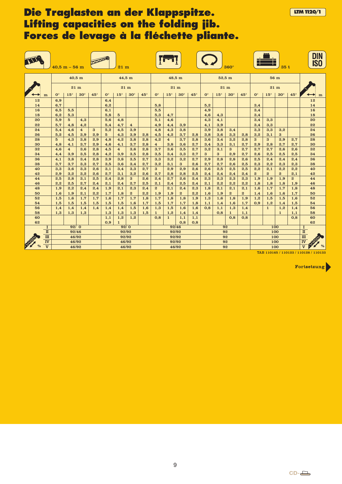### **Die Traglasten an der Klappspitze. LETTEN 1120/1 Lifting capacities on the folding jib. Forces de levage à la fléchette pliante.**

|          |                         | $40.5 m - 56 m$ |                                |                         |            |                      | $21 \text{ m}$                 |                |            |                                |                         |                |            |             |              | $360^\circ$                              |                        |                                    |                  | 35t              |                  | DIN<br><b>ISO</b> |
|----------|-------------------------|-----------------|--------------------------------|-------------------------|------------|----------------------|--------------------------------|----------------|------------|--------------------------------|-------------------------|----------------|------------|-------------|--------------|------------------------------------------|------------------------|------------------------------------|------------------|------------------|------------------|-------------------|
|          |                         |                 |                                | 40,5 m                  |            |                      | 44,5 m                         |                |            |                                | 48,5 m                  |                |            |             |              | $52.5 \text{ m}$                         |                        |                                    | 56 m             |                  |                  |                   |
|          |                         |                 |                                | $21 \text{ m}$          |            |                      | $21 \text{ m}$                 |                |            |                                |                         | $21 \text{ m}$ |            |             |              | $21 \text{ m}$                           |                        |                                    | 21 <sub>m</sub>  |                  |                  |                   |
|          | m                       | $0^{\circ}$     | $15^\circ$                     | $30^\circ$              | $45^\circ$ | $\mathbf{O}^{\circ}$ | $15^\circ$                     | $30^\circ$     | $45^\circ$ | $\mathbf{O}^{\circ}$           | $15^{\circ}$            | $30^\circ$     | $45^\circ$ | $0^{\circ}$ | $15^{\circ}$ | $30^\circ$                               | $45^\circ$             | $\mathbf{O}^{\circ}$               | $15^\circ$       | $30^\circ$       | $45^\circ$       | m                 |
| 12       |                         | 6,9             |                                |                         |            | 6,4                  |                                |                |            |                                |                         |                |            |             |              |                                          |                        |                                    |                  |                  |                  | 12                |
| 14       |                         | 6,7             |                                |                         |            | 6,2                  |                                |                |            | 5,8                            |                         |                |            | 5,2         |              |                                          |                        | 3,4                                |                  |                  |                  | 14                |
| 16       |                         | 6,5             | 5,5                            |                         |            | 6,1                  |                                |                |            | 5,5                            |                         |                |            | 4,9         |              |                                          |                        | 3,4                                |                  |                  |                  | 16                |
| 18       |                         | 6,2             | 5,3                            |                         |            | 5,8                  | $5\phantom{.0}$                |                |            | 5,3                            | 4,7                     |                |            | 4,6         | 4,3          |                                          |                        | 3,4                                |                  |                  |                  | 18                |
| 20       |                         | 5,9             | 5                              | 4,3                     |            | 5,6                  | 4,8                            |                |            | 5,1                            | 4,6                     |                |            | 4,3         | 4,1          |                                          |                        | 3,4                                | 3,3              |                  |                  | 20                |
| 22       |                         | 5,7             | 4,8                            | 4,2                     |            | 5,4                  | 4,7                            | $\overline{4}$ |            | 4,9                            | 4,4                     | 3,9            |            | 4,1         | 3,9          |                                          |                        | 3,4                                | 3,3              |                  |                  | 22                |
| 24       |                         | 5,4             | 4,6                            | $\overline{\mathbf{4}}$ | 3          | 5,2                  | 4,5                            | 3,9            |            | 4,8                            | 4,3                     | 3,8            |            | 3,9         | 3,8          | 3,4                                      |                        | 3,3                                | 3,3              | 3,2              |                  | 24                |
| 26       |                         | 5.2             | 4,5                            | 3,9                     | 2,9        | 5                    | 4,3                            | 3,9            | 2,8        | 4,5                            | 4,2                     | 3,7            | 2,8        | 3,8         | 3,6          | 3,3                                      | 2,8                    | 3,2                                | 3,1              | 3                |                  | 26                |
| 28<br>30 |                         | $5\overline{5}$ | 4,3                            | 3,8                     | 2,9        | 4,8                  | 4,2                            | 3,8            | 2,8        | 4,2                            | $\overline{\mathbf{4}}$ | 3,7            | 2,8        | 3,6         | 3,4          | 3,2                                      | 2,8                    | $\bf{3}$                           | $\mathbf{3}$     | 2,9              | 2,7              | 28<br>30          |
| 32       |                         | 4,8<br>4,6      | 4,1<br>4                       | 3,7<br>3,6              | 2,9<br>2,8 | 4,6<br>4,5           | 4,1<br>$\overline{\mathbf{4}}$ | 3,7<br>3,6     | 2,8<br>2,8 | $\overline{\mathbf{4}}$<br>3,7 | 3,8<br>3,6              | 3,6<br>3,5     | 2,7<br>2,7 | 3,4<br>3,2  | 3,3<br>3,1   | 3,1<br>$\bf{3}$                          | 2,7<br>2,7             | 2,9<br>2,7                         | 2,8<br>2,7       | 2,7<br>2,6       | 2,7<br>2,6       | 32                |
| 34       |                         | 4,4             | 3.9                            | 3,5                     | 2,8        | 4.2                  | 3.9                            | 3.5            | 2,8        | 3,5                            | 3,4                     | 3,3            | 2,7        | 3           | 3            | 2,9                                      | 2,7                    | 2,6                                | 2,5              | 2,5              | 2.5              | 34                |
| 36       |                         | 4,1             | 3,8                            | 3,4                     | 2,8        | 3,9                  | 3,8                            | 3,5            | 2,7        | 3,3                            | 3,2                     | 3,2            | 2,7        | 2,9         | 2,8          | 2,8                                      | 2,6                    | 2,5                                | 2,4              | 2,4              | 2,4              | 36                |
| 38       |                         | 3,7             | 3,7                            | 3,3                     | 2,7        | 3,5                  | 3,6                            | 3,4            | 2,7        | 3,2                            | 3,1                     | $\mathbf{3}$   | 2,6        | 2,7         | 2,7          | 2,6                                      | 2,5                    | 2,3                                | 2,2              | 2,3              | 2,3              | 38                |
| 40       |                         | 3,3             | 3,6                            | 3,3                     | 2,6        | 3,1                  | 3,4                            | 3,3            | 2,7        | $\bf{3}$                       | 2,9                     | 2,9            | 2,6        | 2,6         | 2,5          | 2,5                                      | 2,5                    | 2,2                                | 2,1              | 2,2              | 2,2              | 40                |
| 42       |                         | 2,9             | 3,2                            | 3,2                     | 2,6        | 2,7                  | 3,1                            | 3,2            | 2,6        | 2,7                            | 2,8                     | 2,8            | 2,5        | 2,4         | 2,4          | 2,4                                      | 2,4                    | $\mathbf{2}$                       | $\boldsymbol{2}$ | $\boldsymbol{2}$ | 2,1              | 42                |
| 44       |                         | 2,5             | 2,8                            | 3,1                     | 2,5        | 2,4                  | 2,8                            | $\bf{3}$       | 2,6        | 2,4                            | 2,7                     | 2,6            | 2,4        | 2,3         | 2,3          | 2,3                                      | 2,3                    | 1,9                                | 1,9              | 1,9              | $\boldsymbol{2}$ | 44                |
| 46       |                         | 2.2             | 2,5                            | 2,7                     | 2,4        | 2,1                  | 2,4                            | 2,7            | 2,5        | 2,1                            | 2,4                     | 2,5            | 2,4        | 2,1         | 2,2          | 2.2                                      | 2.2                    | 1,8                                | 1,8              | 1,8              | 1.9              | 46                |
| 48       |                         | 1,9             | 2,2                            | 2,4                     | 2,4        | 1,9                  | 2,1                            | 2,3            | 2,4        | $\boldsymbol{2}$               | 2,1                     | 2,4            | 2,3        | 1,8         | 2,1          | 2,1                                      | 2,1                    | 1,6                                | 1,7              | 1,7              | 1,8              | 48                |
| 50       |                         | 1,6             | 1.9                            | 2.1                     | 2.2        | 1.7                  | 1,8                            | $\mathbf{2}$   | 2.2        | 1.9                            | 1,9                     | $\mathbf{2}$   | 2,2        | 1,6         | 1,9          | $\mathbf{2}$                             | $\overline{2}$         | 1.4                                | 1.6              | 1,6              | 1,7              | 50                |
| 52       |                         | 1,5             | 1,6                            | 1,7                     | 1,7        | 1,6                  | 1,7                            | 1,7            | 1,8        | 1,7                            | 1,8                     | 1,8            | 1,9        | 1,3         | 1,6          | 1,8                                      | 1,9                    | 1,2                                | 1,5              | 1,5              | 1,6              | 52                |
| 54       |                         | 1,5             | 1,5                            | 1,5                     | 1,5        | 1,5                  | 1,5                            | 1,6            | 1,7        | 1,5                            | 1,7                     | 1,7            | 1,8        | 1,1         | 1,4          | 1,6                                      | 1,7                    | 0,9                                | 1,2              | 1,4              | 1,5              | 54                |
| 56       |                         | 1,4             | 1,4                            | 1,4                     | 1,4        | 1,4                  | 1,4                            | 1,5            | 1,6        | 1,3                            | 1,5                     | 1,6            | 1,6        | 0,8         | 1,1          | 1,3                                      | 1,4                    |                                    | $\mathbf{1}$     | 1,2              | 1,4              | 56                |
| 58       |                         | 1,3             | 1,3                            | 1,3                     |            | 1,3                  | 1,3                            | 1,3            | 1,5        | $\mathbf{1}$                   | 1,2                     | 1,4            | 1,4        |             | 0,8          | 1                                        | 1,1                    |                                    |                  | $\mathbf{1}$     | 1,1              | 58                |
| 60       |                         |                 |                                |                         |            | 1,1                  | 1,2                            | 1,2            |            | 0,8                            | $\mathbf{1}$            | 1,1            | 1,1        |             |              | 0,8                                      | 0,8                    |                                    |                  |                  | 0,8              | 60<br>62          |
| 62       | $\mathbf I$             |                 |                                |                         |            | 0.9                  | $\mathbf{1}$                   |                |            |                                |                         | 0.8<br>92/46   | 0,8        |             |              | 92                                       |                        |                                    | 100              |                  |                  | I                 |
|          | $\mathbf n$             |                 | 92/0<br>92/0<br>92/46<br>92/92 |                         |            |                      | 92/92                          |                |            |                                |                         | 92             |            |             | 100          |                                          |                        | $\scriptstyle\rm I\hspace{-.1em}I$ |                  |                  |                  |                   |
|          | $\mathbf{m}$            | 46/92<br>92/92  |                                |                         |            | 92/92                |                                |                |            |                                | 92                      |                |            | 100         |              |                                          | $\mathbf m$            |                                    |                  |                  |                  |                   |
|          | <b>IV</b>               | 46/92<br>46/92  |                                |                         |            |                      | 92/92                          |                |            |                                | 92                      |                |            | 100         |              |                                          | $\overline{\text{IV}}$ |                                    |                  |                  |                  |                   |
|          | $\overline{\mathbf{v}}$ | 46/92<br>46/92  |                                |                         |            | 46/92                |                                |                |            | 92                             |                         |                | 100        |             |              | $\overline{\mathbf{v}}$<br>$\frac{0}{0}$ |                        |                                    |                  |                  |                  |                   |

TAB 110165 / 110123 / 110128 / 110133

Fortsetzung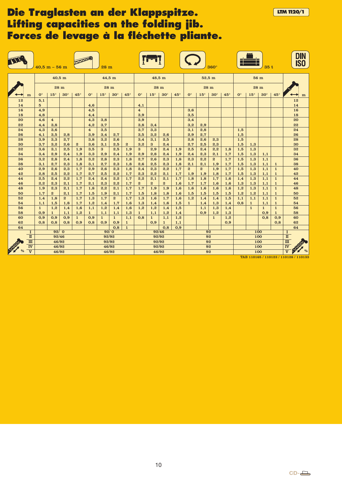### **Die Traglasten an der Klappspitze. LETTE ETA 1120/1 Lifting capacities on the folding jib. Forces de levage à la fléchette pliante.**

|          |                         |                      | $40.5 m - 56 m$         |                |                  |                       | 28 <sub>m</sub> |              |                  |                      |              |                |            |                      |              | $360^\circ$      |                                          |                      |                              | 35t                 |                              | <b>DIN</b><br><b>ISO</b> |
|----------|-------------------------|----------------------|-------------------------|----------------|------------------|-----------------------|-----------------|--------------|------------------|----------------------|--------------|----------------|------------|----------------------|--------------|------------------|------------------------------------------|----------------------|------------------------------|---------------------|------------------------------|--------------------------|
|          |                         |                      | 40,5 m                  |                |                  |                       |                 | 44,5 m       |                  |                      |              | 48,5 m         |            |                      | 52,5m        |                  |                                          |                      |                              | 56 m                |                              |                          |
|          |                         |                      |                         | 28 m           |                  |                       |                 | 28 m         |                  |                      |              | 28 m           |            |                      |              | 28 m             |                                          |                      |                              | 28 m                |                              |                          |
|          | m                       | $\mathbf{O}^{\circ}$ | $15^{\circ}$            | $30^\circ$     | $45^\circ$       | $\mathbf{0}^{\circ}$  | $15^\circ$      | $30^\circ$   | $45^\circ$       | $\mathbf{O}^{\circ}$ | $15^\circ$   | $30^\circ$     | $45^\circ$ | $\mathbf{O}^{\circ}$ | $15^{\circ}$ | $30^\circ$       | $45^\circ$                               | $\mathbf{0}^{\circ}$ | $15^\circ$                   | $30^\circ$          | $45^\circ$                   | m                        |
| 12       |                         | 5,1                  |                         |                |                  |                       |                 |              |                  |                      |              |                |            |                      |              |                  |                                          |                      |                              |                     |                              | 12                       |
| 14       |                         | $5\overline{a}$      |                         |                |                  | 4,6                   |                 |              |                  | 4,1                  |              |                |            |                      |              |                  |                                          |                      |                              |                     |                              | 14                       |
| 16       |                         | 4,9                  |                         |                |                  | 4,5                   |                 |              |                  | $\overline{4}$       |              |                |            | 3,6                  |              |                  |                                          |                      |                              |                     |                              | 16                       |
| 18       |                         | 4,8                  |                         |                |                  | 4,4                   |                 |              |                  | 3,9                  |              |                |            | 3,5                  |              |                  |                                          |                      |                              |                     |                              | 18                       |
| 20       |                         | 4,6                  | $\overline{\mathbf{4}}$ |                |                  | 4,3                   | 3,8             |              |                  | 3,9                  |              |                |            | 3,4                  |              |                  |                                          |                      |                              |                     |                              | 20<br>22                 |
| 22<br>24 |                         | 4,4<br>4,3           | 3,8<br>3,6              |                |                  | 4,2<br>$\overline{4}$ | 3,7<br>3,5      |              |                  | 3,8<br>3,7           | 3,4<br>3,3   |                |            | 3,2<br>3,1           | 2,9<br>2,8   |                  |                                          | 1,5                  |                              |                     |                              | 24                       |
| 26       |                         | 4,1                  | 3,5                     | 2,8            |                  | 3,9                   | 3,4             | 2,7          |                  | 3,5                  | 3,2          | 2,6            |            | 2,9                  | 2,7          |                  |                                          | 1,5                  |                              |                     |                              | 26                       |
| 28       |                         | 3,9                  | 3,3                     | 2,7            |                  | 3,8                   | 3,2             | 2,6          |                  | 3,4                  | 3,1          | 2,5            |            | 2,8                  | 2,6          | 2,3              |                                          | 1,5                  |                              |                     |                              | 28                       |
| 30       |                         | 3,7                  | 3,2                     | 2,6            | $\boldsymbol{2}$ | 3,6                   | 3,1             | 2,5          | $\boldsymbol{2}$ | 3,2                  | $\bf{3}$     | 2,4            |            | 2,7                  | 2,5          | 2,3              |                                          | 1,5                  | 1,3                          |                     |                              | 30                       |
| 32       |                         | 3,6                  | 3,1                     | 2,5            | 1,9              | 3,5                   | $\bf{3}$        | 2,5          | 1,9              | 3                    | 2,9          | 2,4            | 1,9        | 2,5                  | 2,4          | 2,2              | 1,8                                      | 1,5                  | 1,3                          |                     |                              | 32                       |
| 34       |                         | 3,4                  | 2,9                     | 2,4            | 1,9              | 3,3                   | 2,9             | 2,4          | 1,9              | 2,9                  | 2,8          | 2,4            | 1,9        | 2,4                  | 2,3          | 2,1              | 1,7                                      | 1,5                  | 1,3                          | 1,1                 |                              | 34                       |
| 36       |                         | 3,2                  | 2,8                     | 2,4            | 1,8              | 3,2                   | 2,8             | 2,3          | 1,8              | 2,7                  | 2,6          | 2,3            | 1,8        | 2,3                  | 2,2          | $\boldsymbol{2}$ | 1,7                                      | 1,5                  | 1,3                          | 1,1                 |                              | 36                       |
| 38       |                         | 3,1                  | 2,7                     | 2,3            | 1,8              | 3.1                   | 2,7             | 2.3          | 1,8              | 2.6                  | 2,5          | 2,3            | 1,8        | 2,1                  | 2,1          | 1,9              | 1,7                                      | 1,5                  | 1,3                          | 1,1                 | 1                            | 38                       |
| 40       |                         | 2,9                  | 2,6                     | 2,3            | 1,7              | 2,9                   | 2,6             | 2,3          | 1,8              | 2,4                  | 2,3          | 2,2            | 1,7        | $\boldsymbol{2}$     | $\mathbf{2}$ | 1,9              | 1,7                                      | 1,5                  | 1,3                          | 1,1                 | $\mathbf{1}$                 | 40                       |
| 42       |                         | 2.8                  | 2.5                     | 2.2            | 1,7              | 2.7                   | 2,5             | 2,2          | 1,7              | 2.3                  | 2,2          | 2.1            | 1,7        | 1,9                  | 1,9          | 1,8              | 1,7                                      | 1,5                  | 1,3                          | 1,1                 | 1                            | 42                       |
| 44       |                         | 2,5                  | 2,4                     | 2,2            | 1,7              | 2,4                   | 2,4             | 2,2          | 1,7              | 2,2                  | 2,1          | 2,1            | 1,7        | 1,8                  | 1,8          | 1,7              | 1,6                                      | 1,4                  | 1,3                          | 1,1                 | $\mathbf{1}$                 | 44                       |
| 46       |                         | 2,2                  | 2,3                     | 2,1            | 1,7              | 2,1                   | 2,3             | 2,2          | 1,7              | $\mathbf{2}$         | $\mathbf{2}$ | $\overline{2}$ | 1,6        | 1,7                  | 1,7          | 1,6              | 1,6                                      | 1,3                  | 1,3                          | 1,1                 | $\mathbf{1}$                 | 46                       |
| 48       |                         | 1,9                  | 2,3                     | 2,1            | 1,7              | 1,8                   | 2,2             | 2,1          | 1,7              | 1,7                  | 1,9          | 1,9            | 1,6        | 1,6                  | 1,6          | 1,6              | 1,6                                      | 1,2                  | 1,3                          | 1,1                 | $\mathbf{1}$                 | 48                       |
| 50       |                         | 1,7                  | $\boldsymbol{2}$        | 2,1            | 1,7              | 1,5                   | 1,9             | 2,1          | 1,7              | 1,5                  | 1,8          | 1,8            | 1,6        | 1,5                  | 1,5          | 1,5              | 1,5                                      | 1,2                  | 1,2                          | 1,1                 | 1                            | 50                       |
| 52<br>54 |                         | 1,4                  | 1,8                     | $\overline{2}$ | 1,7<br>1,7       | 1,3                   | 1,7             | $\mathbf{2}$ | 1,7              | 1,3                  | 1,6          | 1,7            | 1,6        | 1,2                  | 1,4          | 1,4              | 1,5                                      | 1,1<br>0,8           | 1,1                          | 1,1                 | $\mathbf{1}$                 | 52<br>54                 |
| 56       |                         | 1,1<br>$\mathbf{1}$  | 1,5<br>1,2              | 1,8<br>1,4     | 1,6              | 1,2<br>1,1            | 1,4<br>1,2      | 1,7<br>1,4   | 1,6<br>1,6       | 1,3<br>1,2           | 1,4<br>1,2   | 1,6<br>1,4     | 1,5<br>1,5 | $\mathbf{1}$         | 1,4<br>1,1   | 1,3<br>1,3       | 1,4<br>1,4                               |                      | $\mathbf{1}$<br>$\mathbf{1}$ | 1,1<br>$\mathbf{1}$ | $\mathbf{1}$<br>$\mathbf{1}$ | 56                       |
| 58       |                         | 0,9                  | $\mathbf{1}$            | 1,1            | 1,2              | 1                     | 1,1             | 1,1          | 1,3              | $\mathbf{1}$         | 1,1          | 1,2            | 1,4        |                      | 0,9          | 1,2              | 1,3                                      |                      |                              | 0,9                 | $\mathbf{1}$                 | 58                       |
| 60       |                         | 0,9                  | 0,9                     | 0,9            | $\mathbf{1}$     | 0,9                   | $\mathbf{1}$    | $\mathbf{1}$ | 1,1              | 0,8                  | $\mathbf{1}$ | 1,1            | 1,2        |                      |              | $\mathbf{1}$     | 1,2                                      |                      |                              | 0,8                 | 0,9                          | 60                       |
| 62       |                         | 0.8                  | 0.8                     | 0.8            | 0.9              | 0.8                   | 0.9             | 0.9          | $\mathbf{1}$     |                      | 0,9          | $\mathbf{1}$   | 1,1        |                      |              |                  | 0.9                                      |                      |                              |                     | 0.8                          | 62                       |
| 64       |                         |                      |                         |                |                  |                       |                 | 0,8          | $\mathbf{1}$     |                      |              | 0,8            | 0,9        |                      |              |                  |                                          |                      |                              |                     |                              | 64                       |
|          | $\mathbf{I}$            |                      | 92/0                    |                |                  |                       | 92/0            |              |                  |                      | 92/46        |                |            |                      | 92           |                  |                                          |                      | 100                          |                     |                              | <b>I</b>                 |
|          | $\mathbf n$             |                      | 92/46                   |                |                  |                       | 92/92           |              |                  |                      | 92/92        |                |            |                      | 92           |                  |                                          |                      | 100                          |                     |                              | $\mathbf{u}$             |
|          | $\mathbf{m}$            |                      | 46/92                   |                |                  | 92/92                 |                 |              |                  | 92/92                |              |                |            | 92                   |              |                  |                                          | 100                  |                              |                     | $\overline{\text{III}}$      |                          |
|          | $\overline{\mathbf{v}}$ | 46/92<br>46/92       |                         |                |                  | 92/92                 |                 |              |                  | 92                   |              |                |            | 100                  |              |                  | $\overline{\mathbf{w}}$                  |                      |                              |                     |                              |                          |
|          | $\overline{\mathbf{V}}$ | 46/92<br>46/92       |                         |                |                  | 46/92                 |                 |              |                  | 92                   |              |                |            | 100                  |              |                  | $\frac{9}{6}$<br>$\overline{\mathbf{v}}$ |                      |                              |                     |                              |                          |

TAB 110165 / 110123 / 110128 / 110133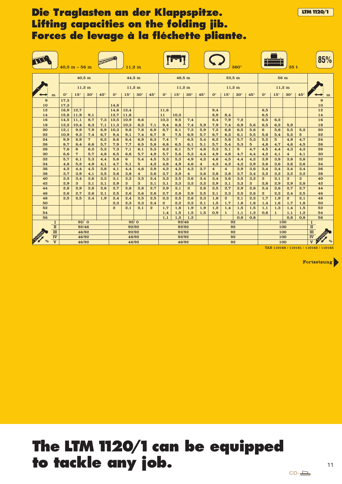### **Die Traglasten an der Klappspitze. Lifting capacities on the folding jib. Forces de levage à la fléchette pliante.**

|                  |                         |                | $40.5 m - 56 m$         |                  |               |                      | $11.2 \text{ m}$ |                         |                |                |                  |                |                       |                       |                       | $360^\circ$     |                                                          |                |                  | 35t                     |                 | 85%            |
|------------------|-------------------------|----------------|-------------------------|------------------|---------------|----------------------|------------------|-------------------------|----------------|----------------|------------------|----------------|-----------------------|-----------------------|-----------------------|-----------------|----------------------------------------------------------|----------------|------------------|-------------------------|-----------------|----------------|
|                  |                         |                |                         | $40,5$ m         |               |                      | 44,5 m           |                         |                |                | 48,5 m           |                |                       |                       | $52.5 \text{ m}$      |                 |                                                          |                | 56 m             |                         |                 |                |
|                  |                         |                |                         | $11,2 \text{ m}$ |               |                      | $11,2 \text{ m}$ |                         |                |                | $11,2 \text{ m}$ |                |                       |                       | $11,2 \text{ m}$      |                 |                                                          |                | $11,2 \text{ m}$ |                         |                 |                |
|                  | m                       | $0^{\circ}$    | $15^\circ$              | $30^\circ$       | $45^\circ$    | $\mathbf{O}^{\circ}$ | $15^\circ$       | $30^\circ$              | $45^\circ$     | $0^{\circ}$    | $15^{\circ}$     | $30^\circ$     | $45^\circ$            | $0^{\circ}$           | $15^{\circ}$          | $30^\circ$      | $45^\circ$                                               | $0^{\circ}$    | $15^{\circ}$     | $30^\circ$              | $45^\circ$      | m              |
| $\boldsymbol{9}$ |                         | 17,3           |                         |                  |               |                      |                  |                         |                |                |                  |                |                       |                       |                       |                 |                                                          |                |                  |                         |                 | 9              |
| 10               |                         | 17,3           |                         |                  |               | 14,8                 |                  |                         |                |                |                  |                |                       |                       |                       |                 |                                                          |                |                  |                         |                 | 10             |
| 12<br>14         |                         | 16,9<br>15,8   | 12,7<br>11,9            | 9,1              |               | 14,6<br>13.7         | 12,4<br>11,6     |                         |                | 11,6<br>11     | 10.3             |                |                       | 9,4<br>8,9            | 8,4                   |                 |                                                          | 6,5<br>6,5     |                  |                         |                 | 12<br>14       |
| 16               |                         | 14,5           | 11,1                    | 8,7              | 7,3           | 12,5                 | 10,9             | 8,6                     |                | 10,3           | 9,5              | 7,4            |                       | 8,4                   | 7,9                   | 7,2             |                                                          | 6,5            | 6,2              |                         |                 | 16             |
| 18               |                         | 13,2           | 10,4                    | 8,3              | 7,1           | 11,3                 | 10,3             | 8,2                     | 7,1            | 9,4            | 8,8              | 7,4            | 5,9                   | 7,9                   | 7,4                   | 6,9             | 5,6                                                      | 6,5            | 6,2              | 5,9                     |                 | 18             |
| 20               |                         | 12,1           | 9,9                     | 7,9              | 6,9           | 10,3                 | 9,8              | 7,8                     | 6,9            | 8,7            | 8,1              | 7,3            | 5,9                   | 7,2                   | 6,8                   | 6,5             | 5,6                                                      | 6              | 5,8              | 5,5                     | 5,2             | 20             |
| 22               |                         | 10,9           | 9,3                     | 7,4              | 6,7           | 9,4                  | 9,1              | 7,4                     | 6,7            | 8              | 7,5              | 6,9            | 5,7                   | 6,7                   | 6,3                   | 6,1             | 5,5                                                      | 5,6            | 5,4              | 5,2                     | $5\overline{5}$ | 22             |
| 24               |                         | 9,9            | 8,9                     | 7                | 6,2           | 8,6                  | 8,4              | 6,9                     | 6,3            | 7,4            | 7                | 6,5            | 5,4                   | 6,2                   | 5,8                   | 5,7             | 5,3                                                      | 5,2            | $5\overline{a}$  | 4,9                     | 4,7             | 24             |
| 26               |                         | 8.7            | 8,4                     | 6.6              | 5,7           | 7.9                  | 7.7              | 6.5                     | 5,8            | 6,8            | 6,5              | 6.1            | 5,1                   | 5,7                   | 5,4                   | 5,3             | $5\overline{a}$                                          | 4,8            | 4,7              | 4,6                     | 4.5             | 26             |
| 28               |                         | 7,6            | 8                       | 6,2              | 5,2           | 7,3                  | 7,1              | 6,1                     | 5,3            | 6,2            | 6,1              | 5,7            | 4,8                   | 5,3                   | 5,1                   | $5\overline{5}$ | 4,7                                                      | 4,5            | 4,4              | 4,3                     | 4,3             | 28             |
| 30               |                         | 6,6            | 7                       | 5,7              | 4,8           | 6,5                  | 6,6              | 5,7                     | 4,9            | 5,7            | 5,6              | 5,3            | 4,4                   | 4,9                   | 4,8                   | 4,7             | 4,4                                                      | 4,2            | 4,1              | $\overline{\mathbf{4}}$ | 4,1             | 30             |
| 32<br>34         |                         | 5,7<br>4,8     | 6,1                     | 5,3              | 4,4           | 5,6                  | 6                | 5,4                     | 4,5            | 5,3            | 5,3              | 4,9            | 4,2                   | 4,6                   | 4,5                   | 4,4             | 4,2                                                      | 3,9            | 3,8              | 3,8                     | 3,8             | 32<br>34       |
| 36               |                         | 4,2            | 5,2<br>4,4              | 4,9<br>4,5       | 4,1<br>3,8    | 4,7<br>4,1           | 5,1<br>4,4       | 5<br>4,6                | 4,2<br>3,9     | 4,8<br>4,2     | 4,9<br>4,5       | 4,6<br>4,3     | $\overline{4}$<br>3,7 | 4,3<br>$\overline{4}$ | 4,2<br>$\overline{4}$ | 4,2<br>3,9      | 3,9<br>3,6                                               | 3,6<br>3,4     | 3,6<br>3,4       | 3,6<br>3,4              | 3,6<br>3,4      | 36             |
| 38               |                         | 3.7            | 3,9                     | 4,1              | 3,5           | 3.6                  | 3,8              | $\overline{\mathbf{4}}$ | 3,6            | 3,7            | 3,9              | $\overline{4}$ | 3,6                   | 3,8                   | 3,8                   | 3,7             | 3,4                                                      | 3,2            | 3,2              | 3,2                     | 3,2             | 38             |
| 40               |                         | 3,2            | 3,4                     | 3,6              | 3,3           | 3,1                  | 3,3              | 3,5                     | 3,4            | 3,3            | 3,5              | 3,6            | 3,4                   | 3,4                   | 3,6                   | 3,5             | 3,2                                                      | 3              | 3,1              | 3                       | $\mathbf{3}$    | 40             |
| 42               |                         | 2,9            | 3                       | 3,1              | 3,1           | 2,9                  | 3                | 3                       | 3,1            | 3,1            | 3,3              | 3,2            | 3,2                   | 2,9                   | 3,1                   | 3,3             | $\bf{3}$                                                 | 2,8            | 2,9              | 2,9                     | 2,8             | 42             |
| 44               |                         | 2,8            | 2,9                     | 2,8              | 2,6           | 2,7                  | 2,8              | 2,8                     | 2,7            | 2,9            | 3,1              | 3              | 2,8                   | 2,5                   | 2,7                   | 2,9             | 2,8                                                      | 2,4            | 2,6              | 2,7                     | 2,7             | 44             |
| 46               |                         | 2.6            | 2.7                     | 2.6              | 2.1           | 2.5                  | 2,6              | 2.6                     | 2.6            | 2.7            | 2,8              | 2.9            | 2,5                   | 2,1                   | 2,3                   | 2,5             | 2.6                                                      | $\overline{2}$ | 2.2              | 2,4                     | 2.5             | 46             |
| 48               |                         | 2,5            | 2,5                     | 2,4              | 1,9           | 2,4                  | 2,4              | 2,5                     | 2,5            | 2,3            | 2,5              | 2,6            | 2,3                   | 1,8                   | $\overline{2}$        | 2,1             | 2,2                                                      | 1,7            | 1,9              | $\boldsymbol{2}$        | 2,1             | 48             |
| 50               |                         |                |                         |                  |               | 2.3                  | 2,3              | 2,3                     | 2,4            | $\overline{2}$ | 2,2              | 2,2            | 2,1                   | 1,5                   | 1,7                   | 1,8             | 1,8                                                      | 1,4            | 1,6              | 1,7                     | 1,8             | 50             |
| 52               |                         |                |                         |                  |               | $\boldsymbol{2}$     | 2,1              | 2,1                     | $\overline{2}$ | 1,7            | 1,8              | 1,9            | 1,9                   | 1,2                   | 1.4                   | 1,5             | 1,5                                                      | 1,1            | 1,3              | 1,4                     | 1,5             | 52             |
| 54               |                         |                |                         |                  |               |                      |                  |                         |                | 1,4            | 1,5              | 1,5            | 1,5                   | 0,9                   | $\mathbf{1}$          | 1,1             | 1,2                                                      | 0,8            | $\mathbf{1}$     | 1,1                     | 1,2             | 54             |
| 56               |                         |                | 92/0                    |                  |               |                      |                  |                         |                | 1,1            | 1,2<br>92/46     | 1,2            |                       |                       |                       | 0,8<br>92       | 0,8                                                      |                | 100              | 0.8                     | 0,8             | 56<br>$\bf{I}$ |
|                  | 1<br>$\mathbf n$        |                |                         |                  | 92/0<br>92/92 |                      |                  |                         | 92/92          |                |                  |                | 92                    |                       |                       |                 | 100                                                      |                |                  | $\rm I\hspace{-.1em}I$  |                 |                |
|                  | $\mathbf{m}$            |                | 92/46<br>46/92<br>92/92 |                  |               |                      | 92/92            |                         |                |                | 92               |                |                       |                       | 100                   |                 |                                                          | $\mathbf m$    |                  |                         |                 |                |
|                  | <b>IV</b>               | 46/92<br>46/92 |                         |                  |               | 92/92                |                  |                         |                | 92             |                  |                |                       | 100                   |                       |                 | <b>DESCRIPTION</b><br>$\overline{\overline{\mathbf{N}}}$ |                |                  |                         |                 |                |
|                  | $\overline{\mathbf{v}}$ | 46/92<br>46/92 |                         |                  |               | 46/92                |                  |                         |                |                | 92               |                |                       | 100                   |                       |                 | $\overline{\mathbf{v}}$<br>$\frac{0}{0}$                 |                |                  |                         |                 |                |

TAB 110168 / 110161 / 110162 / 110163

Fortsetzung

**LTM1120/1**

# **The LTM 1120/1 can be equipped to tackle any job.**

 $CD-\Box$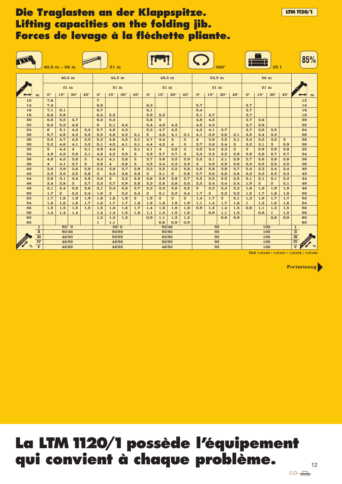### **Die Traglasten an der Klappspitze. Lifting capacities on the folding jib. Forces de levage à la fléchette pliante.**

|          |                         |                         | $40.5~\mathrm{m}$ – $56~\mathrm{m}$ |                         |            |                       | $21 \text{ m}$  |                         |                |                      |                |                |                |                  |                  | $360^\circ$    |                                                        |                                     |                       | 35t                 |            | 85%      |
|----------|-------------------------|-------------------------|-------------------------------------|-------------------------|------------|-----------------------|-----------------|-------------------------|----------------|----------------------|----------------|----------------|----------------|------------------|------------------|----------------|--------------------------------------------------------|-------------------------------------|-----------------------|---------------------|------------|----------|
|          |                         |                         |                                     | 40,5 m                  |            |                       | 44,5 m          |                         |                |                      | 48,5 m         |                |                |                  |                  | $52,5$ m       |                                                        |                                     |                       | 56 <sub>m</sub>     |            |          |
|          |                         |                         |                                     | $21 \text{ m}$          |            |                       | $21 \text{ m}$  |                         |                |                      | $21 \text{ m}$ |                |                |                  |                  | $21 \text{ m}$ |                                                        |                                     |                       | $21 \text{ m}$      |            |          |
|          | m                       | $0^{\circ}$             | $15^{\circ}$                        | $30^\circ$              | $45^\circ$ | $\mathbf{O}^{\circ}$  | $15^\circ$      | $30^\circ$              | $45^\circ$     | $\mathbf{O}^{\circ}$ | $15^{\circ}$   | $30^\circ$     | $45^\circ$     | $0^{\circ}$      | $15^\circ$       | $30^\circ$     | $45^\circ$                                             | $\mathbf{O}^{\circ}$                | $15^\circ$            | $30^\circ$          | $45^\circ$ | m        |
| 12       |                         | 7,6                     |                                     |                         |            | $\overline{7}$        |                 |                         |                |                      |                |                |                |                  |                  |                |                                                        |                                     |                       |                     |            | 12       |
| 14       |                         | 7.4                     |                                     |                         |            | 6.9                   |                 |                         |                | 6.3                  |                |                |                | 5.7              |                  |                |                                                        | 3,7                                 |                       |                     |            | 14       |
| 16       |                         | 7,1                     | 6,1                                 |                         |            | 6,7                   |                 |                         |                | 6,1                  |                |                |                | 5,4              |                  |                |                                                        | 3,7                                 |                       |                     |            | 16       |
| 18       |                         | 6,8                     | 5,8                                 |                         |            | 6,4                   | 5,5             |                         |                | 5,9                  | 5,2            |                |                | 5,1              | 4,7              |                |                                                        | 3,7                                 |                       |                     |            | 18       |
| 20<br>22 |                         | 6,5<br>6,2              | 5,5                                 | 4,7                     |            | 6,2<br>$6\phantom{1}$ | 5,3             |                         |                | 5,6                  | $5^{\circ}$    |                |                | 4,8              | 4,5              |                |                                                        | 3,7<br>3,7                          | 3,6                   |                     |            | 20<br>22 |
| 24       |                         | 6                       | 5,3<br>5,1                          | 4,6<br>4,4              | 3,3        | 5,7                   | 5,1<br>4,9      | 4,4<br>4,3              |                | 5,4<br>5,3           | 4,9<br>4,7     | 4,3<br>4,2     |                | 4,5<br>4,3       | 4,3<br>4,1       | 3,7            |                                                        | 3,7                                 | 3,6<br>3,6            | 3,5                 |            | 24       |
| 26       |                         | 5.7                     | 4,9                                 | 4,3                     | 3,2        | 5,5                   | 4,8             | 4,2                     | 3,1            | $5\overline{a}$      | 4,6            | 4,1            | 3,1            | 4,1              | 3,9              | 3,6            | 3,1                                                    | 3,5                                 | 3,4                   | 3,3                 |            | 26       |
| 28       |                         | 5,5                     | 4,7                                 | 4,2                     | 3,2        | 5,3                   | 4,6             | 4,2                     | 3,1            | 4,7                  | 4,4            | $\overline{4}$ | 3              | $\overline{4}$   | 3,8              | 3,5            | 3,1                                                    | 3,3                                 | 3,3                   | 3,2                 | 3          | 28       |
| 30       |                         | 5,2                     | 4,6                                 | 4,1                     | 3,2        | 5,1                   | 4,5             | 4,1                     | 3,1            | 4,4                  | 4,2            | $\overline{4}$ | 3              | 3,7              | 3,6              | 3,4            | 3                                                      | 3,2                                 | 3,1                   | 3                   | 2,9        | 30       |
| 32       |                         | $5\overline{5}$         | 4,4                                 | $\overline{\mathbf{4}}$ | 3,1        | 4,9                   | 4,4             | $\overline{\mathbf{4}}$ | 3,1            | 4,1                  | $\overline{4}$ | 3,9            | 3              | 3,5              | 3,4              | 3,3            | 3                                                      | $\bf{3}$                            | 2,9                   | 2,9                 | 2,8        | 32       |
| 34       |                         | 4,9                     | 4,3                                 | 3,9                     | 3,1        | 4,6                   | 4,2             | 3,9                     | $\bf{3}$       | 3,9                  | 3,7            | 3,7            | $\bf{3}$       | 3,3              | 3,3              | 3,2            | 2,9                                                    | 2,9                                 | 2,8                   | 2,7                 | 2.7        | 34       |
| 36       |                         | 4,6                     | 4,2                                 | 3,8                     | 3          | 4,3                   | 4,1             | 3,8                     | $\bf{3}$       | 3,7                  | 3,6            | 3,5            | 2,9            | 3,2              | 3,1              | 3,1            | 2,9                                                    | 2,7                                 | 2,6                   | 2,6                 | 2,6        | 36       |
| 38       |                         | $\overline{\mathbf{4}}$ | 4,1                                 | 3,7                     | 3          | 3,9                   | $\overline{4}$  | 3.8                     | 3              | 3,5                  | 3,4            | 3,3            | 2,9            | $\mathbf{3}$     | 2,9              | 2,9            | 2,8                                                    | 2,5                                 | 2,5                   | 2,5                 | 2.5        | 38       |
| 40       |                         | 3,6                     | 3,9                                 | 3,6                     | 2,9        | 3,4                   | 3,8             | 3,7                     | 2,9            | 3,3                  | 3,2            | 3,2            | 2,8            | 2,8              | 2,8              | 2,8            | 2,7                                                    | 2,4                                 | 2,3                   | 2,4                 | 2,4        | 40       |
| 42       |                         | 3,2                     | 3,5                                 | 3,5                     | 2,8        | 3                     | 3,4             | 3.6                     | 2,9            | 3                    | 3,1            | 3              | 2,8            | 2,7              | 2,6              | 2,6            | 2,6                                                    | 2,2                                 | 2,2                   | 2,2                 | 2.3        | 42       |
| 44<br>46 |                         | 2,8<br>2,4              | 3,1<br>2,8                          | 3,4<br>3                | 2,8<br>2,7 | 2,6<br>2,3            | $\bf{3}$<br>2,7 | 3,3<br>2,9              | 2,8<br>2,8     | 2,6<br>2,3           | 2,9<br>2,6     | 2,9<br>2,8     | 2,7<br>2,6     | 2,5<br>2,3       | 2,5<br>2,4       | 2,5<br>2,4     | 2,5<br>2,4                                             | 2,1<br>1,9                          | 2,1<br>$\overline{2}$ | 2,1<br>$\mathbf{z}$ | 2,2<br>2,1 | 44<br>46 |
| 48       |                         | 2,1                     | 2,4                                 | 2,6                     | 2,6        | 2,1                   | 2,3             | 2,6                     | 2,7            | 2,2                  | 2,3            | 2,6            | 2,5            | $\boldsymbol{2}$ | 2,3              | 2,3            | 2,3                                                    | 1,8                                 | 1,8                   | 1,9                 | 1,9        | 48       |
| 50       |                         | 1,7                     | $\boldsymbol{2}$                    | 2,3                     | 2,4        | 1,9                   | $\mathbf{2}$    | 2,2                     | 2,4            | $\boldsymbol{2}$     | 2,1            | 2,2            | 2,4            | 1,7              | $\boldsymbol{2}$ | 2,2            | 2,2                                                    | 1,5                                 | 1,7                   | 1,8                 | 1,8        | 50       |
| 52       |                         | 1,7                     | 1,8                                 | 1,9                     | 1,9        | 1,8                   | 1,8             | 1,9                     | $\overline{2}$ | 1,9                  | $\overline{2}$ | $\overline{2}$ | $\overline{2}$ | 1,4              | 1,7              | $\mathbf{2}$   | 2,1                                                    | 1,3                                 | 1,6                   | 1,7                 | 1,7        | 52       |
| 54       |                         | 1,6                     | 1.6                                 | 1,6                     | 1,7        | 1.6                   | 1,7             | 1.7                     | 1,8            | 1.6                  | 1,8            | 1.9            | 1,9            | 1,1              | 1,4              | 1,7            | 1,8                                                    | $\mathbf{1}$                        | 1.3                   | 1,6                 | 1.6        | 54       |
| 56       |                         | 1,5                     | 1,5                                 | 1,5                     | 1,5        | 1,5                   | 1,6             | 1,6                     | 1,7            | 1,4                  | 1,6            | 1,8            | 1,8            | 0,9              | 1,2              | 1,4            | 1,5                                                    | 0,8                                 | 1,1                   | 1,3                 | 1,5        | 56       |
| 58       |                         | 1,4                     | 1,4                                 | 1,4                     |            | 1,4                   | 1,4             | 1,5                     | 1,6            | 1,1                  | 1,4            | 1,5            | 1,6            |                  | 0,9              | 1,1            | 1,2                                                    |                                     | 0,8                   | $\mathbf{1}$        | 1,2        | 58       |
| 60       |                         |                         |                                     |                         |            | 1,2                   | 1,3             | 1,3                     |                | 0,9                  | 1,1            | 1,2            | 1,2            |                  |                  | 0,8            | 0,9                                                    |                                     |                       | 0,8                 | 0,9        | 60       |
| 62       |                         |                         |                                     |                         |            | $\mathbf{1}$          | 1,1             |                         |                |                      | 0,8            | 0,9            | 0,9            |                  |                  |                |                                                        |                                     |                       |                     |            | 62       |
|          | 1<br>$\mathbf{I}$       |                         | 92/0<br>92/0<br>92/46<br>92/92      |                         |            |                       | 92/46<br>92/92  |                         |                |                      |                | 92<br>92       |                |                  |                  | 100<br>100     |                                                        | $\bf{I}$<br>$\overline{\mathbf{u}}$ |                       |                     |            |          |
|          | $\mathbf{m}$            | 46/92<br>92/92          |                                     |                         |            | 92/92                 |                 |                         |                |                      | 92             |                |                |                  | 100              |                | $\overline{\mathbf{m}}$                                |                                     |                       |                     |            |          |
|          | IV                      | 46/92                   |                                     |                         |            | 92/92                 |                 |                         |                |                      | 92             |                |                |                  | 100              |                | $\overline{\textbf{I}^{\textbf{V}}}$                   |                                     |                       |                     |            |          |
|          | $\overline{\mathbf{V}}$ | 46/92<br>46/92<br>46/92 |                                     |                         |            | 46/92                 |                 |                         |                |                      | 92             |                |                |                  | 100              |                | <b>DES</b><br>$\frac{0}{0}$<br>$\overline{\mathbf{v}}$ |                                     |                       |                     |            |          |

TAB 110168 / 110161 / 110162 / 110163

Fortsetzung

**LTM1120/1**

# **La LTM1120/1possède l'équipement qui convient à chaque problème.**

12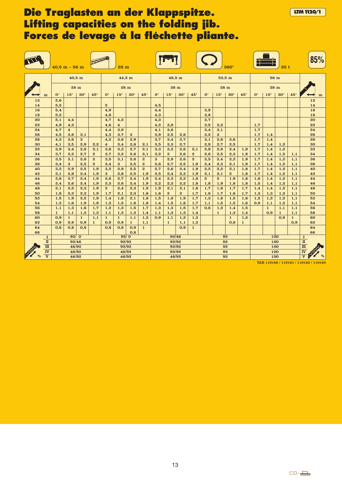### **Die Traglasten an der Klappspitze. LETTEN 1120/1 Lifting capacities on the folding jib. Forces de levage à la fléchette pliante.**

|          |                                      | $40,5 m - 56 m$      |                         |                     |                     |                                | 28m                     |                     |                     |             |              |              |                     |              |              | $360^\circ$      |                     |                                                                                  |              | 35 t         |                     | 85%                    |
|----------|--------------------------------------|----------------------|-------------------------|---------------------|---------------------|--------------------------------|-------------------------|---------------------|---------------------|-------------|--------------|--------------|---------------------|--------------|--------------|------------------|---------------------|----------------------------------------------------------------------------------|--------------|--------------|---------------------|------------------------|
|          |                                      |                      |                         | 40,5 m              |                     |                                | 44,5 m                  |                     |                     |             |              | 48,5 m       |                     |              |              | $52.5 \text{ m}$ |                     |                                                                                  | 56 m         |              |                     |                        |
|          |                                      |                      |                         | 28 m                |                     |                                | 28 <sub>m</sub>         |                     |                     |             |              | 28 m         |                     |              |              | 28 <sub>m</sub>  |                     |                                                                                  | 28 m         |              |                     |                        |
|          | m                                    | $\mathbf{O}^{\circ}$ | $15^\circ$              | $30^\circ$          | $45^\circ$          | $\mathbf{O}^{\circ}$           | $15^\circ$              | $30^\circ$          | $45^\circ$          | $0^{\circ}$ | $15^\circ$   | $30^\circ$   | $45^\circ$          | $0^{\circ}$  | $15^\circ$   | $30^\circ$       | $45^\circ$          | $0^{\circ}$                                                                      | $15^\circ$   | $30^\circ$   | $45^\circ$          | m                      |
| 12       |                                      | 5,6                  |                         |                     |                     |                                |                         |                     |                     |             |              |              |                     |              |              |                  |                     |                                                                                  |              |              |                     | 12                     |
| 14       |                                      | 5,5                  |                         |                     |                     | $5\overline{a}$                |                         |                     |                     | 4,5         |              |              |                     |              |              |                  |                     |                                                                                  |              |              |                     | 14                     |
| 16<br>18 |                                      | 5,4<br>5,2           |                         |                     |                     | 4,9<br>4,8                     |                         |                     |                     | 4,4<br>4,3  |              |              |                     | 3,9<br>3,8   |              |                  |                     |                                                                                  |              |              |                     | 16<br>18               |
| 20       |                                      | 5,1                  | 4,4                     |                     |                     | 4,7                            | 4,2                     |                     |                     | 4,3         |              |              |                     | 3,7          |              |                  |                     |                                                                                  |              |              |                     | 20                     |
| 22       |                                      | 4,9                  | 4,2                     |                     |                     | 4.6                            | $\overline{\mathbf{4}}$ |                     |                     | 4,2         | 3.8          |              |                     | 3.5          | 3,2          |                  |                     | 1.7                                                                              |              |              |                     | 22                     |
| 24       |                                      | 4,7                  | $\overline{\mathbf{4}}$ |                     |                     | 4,4                            | 3,9                     |                     |                     | 4,1         | 3,6          |              |                     | 3,4          | 3,1          |                  |                     | 1,7                                                                              |              |              |                     | 24                     |
| 26       |                                      | 4,5                  | 3,8                     | 3,1                 |                     | 4,3                            | 3,7                     | 3                   |                     | 3.9         | 3,5          | 2,8          |                     | 3,2          | 3            |                  |                     | 1,7                                                                              | 1,4          |              |                     | 26                     |
| 28       |                                      | 4,3                  | 3,6                     | 3                   |                     | 4,2                            | 3,6                     | 2,9                 |                     | 3,7         | 3,4          | 2,7          |                     | 3,1          | 2,8          | 2,6              |                     | 1,7                                                                              | 1,4          |              |                     | 28                     |
| 30<br>32 |                                      | 4,1<br>3,9           | 3,5<br>3,4              | 2,9<br>2,8          | 2,2<br>2,1          | $\overline{\mathbf{4}}$<br>3,8 | 3,4<br>3,3              | 2,8<br>2,7          | 2,1<br>2,1          | 3,5<br>3,3  | 3,3<br>3,2   | 2,7<br>2,6   | 2,1                 | 2,9<br>2,8   | 2,7<br>2,6   | 2,5<br>2,4       | 1,9                 | 1,7<br>1,7                                                                       | 1,4<br>1,4   | 1,2<br>1,2   |                     | 30<br>32               |
| 34       |                                      | 3,7                  | 3,2                     | 2,7                 | $\boldsymbol{2}$    | 3.7                            | 3,2                     | 2,6                 | 2,1                 | 3,2         | 3            | 2,6          | $\boldsymbol{2}$    | 2,6          | 2,5          | 2,3              | 1,9                 | 1,7                                                                              | 1,4          | 1,2          | 1,1                 | 34                     |
| 36       |                                      | 3,5                  | 3,1                     | 2,6                 | $\overline{2}$      | 3,5                            | 3,1                     | 2,6                 | $\boldsymbol{2}$    | 3           | 2,9          | 2,6          | $\mathbf{2}$        | 2,5          | 2,4          | 2,2              | 1,9                 | 1,7                                                                              | 1,4          | 1,2          | 1,1                 | 36                     |
| 38       |                                      | 3,4                  | 3                       | 2,5                 | $\boldsymbol{2}$    | 3,4                            | $\bf{3}$                | 2,5                 | $\boldsymbol{2}$    | 2,8         | 2,7          | 2,5          | 1,9                 | 2,4          | 2,3          | 2,1              | 1,9                 | 1,7                                                                              | 1,4          | 1,2          | 1,1                 | 38                     |
| 40       |                                      | 3,2                  | 2,9                     | 2,5                 | 1,9                 | 3,2                            | 2,9                     | 2,5                 | $\boldsymbol{2}$    | 2,7         | 2,6          | 2,4          | 1,9                 | 2,2          | 2,2          | 2,1              | 1,8                 | 1,7                                                                              | 1,4          | 1,2          | 1,1                 | 40                     |
| 42       |                                      | 3,1                  | 2,8                     | 2,4                 | 1,9                 | 3                              | 2,8                     | 2.5                 | 1,9                 | 2,5         | 2,4          | 2,3          | 1,9                 | 2,1          | 2,1          | $\boldsymbol{2}$ | 1,8                 | 1,7                                                                              | 1,4          | 1,2          | 1,1                 | 42                     |
| 44       |                                      | 2,8                  | 2,7                     | 2,4                 | 1,9                 | 2,6                            | 2,7                     | 2,4                 | 1,9                 | 2,4         | 2,3          | 2,3          | 1,8                 | $\mathbf{2}$ | $\mathbf{2}$ | 1,9              | 1,8                 | 1,6                                                                              | 1,4          | 1,2          | 1,1                 | 44                     |
| 46<br>48 |                                      | 2,4<br>2,1           | 2,6<br>2,5              | 2,4<br>2,3          | 1,9<br>1,9          | 2.3<br>$\boldsymbol{2}$        | 2,6<br>2,4              | 2,4<br>2,3          | 1,9<br>1,9          | 2,2<br>1,9  | 2,2<br>2,1   | 2,2<br>2,1   | 1,8<br>1,8          | 1,8<br>1,7   | 1,9<br>1,8   | 1,8<br>1,7       | 1,8<br>1,7          | 1,5<br>1,4                                                                       | 1.4<br>1,4   | 1,2<br>1,2   | 1.1<br>1,1          | 46<br>48               |
| 50       |                                      | 1,8                  | 2,2                     | 2,3                 | 1,9                 | 1,7                            | 2,1                     | 2,3                 | 1,8                 | 1,6         | $\mathbf{2}$ | $\mathbf{2}$ | 1,7                 | 1,6          | 1,7          | 1,6              | 1,7                 | 1,3                                                                              | 1,3          | 1,2          | 1,1                 | 50                     |
| 52       |                                      | 1,5                  | 1,9                     | 2,2                 | 1,9                 | 1,4                            | 1,8                     | 2,1                 | 1,8                 | 1,5         | 1,8          | 1,9          | 1,7                 | 1,3          | 1,6          | 1,5              | 1,6                 | 1,2                                                                              | 1,2          | 1,2          | 1,1                 | 52                     |
| 54       |                                      | 1,2                  | 1,6                     | 1,9                 | 1,9                 | 1,3                            | 1,5                     | 1,8                 | 1,8                 | 1,4         | 1,5          | 1,8          | 1,7                 | 1,1          | 1,5          | 1,5              | 1,6                 | 0,9                                                                              | 1,1          | 1,2          | 1,1                 | 54                     |
| 56       |                                      | 1,1                  | 1,3                     | 1,6                 | 1,7                 | 1,2                            | 1,3                     | 1,5                 | 1,7                 | 1,3         | 1,3          | 1,5          | 1,7                 | 0,8          | 1,2          | 1,4              | 1,5                 |                                                                                  | $\mathbf{1}$ | 1,1          | 1,1                 | 56                     |
| 58       |                                      | $\mathbf{1}$         | 1,1                     | 1,3                 | 1,3                 | 1,1                            | 1,2                     | 1,2                 | 1,4                 | 1,1         | 1,2          | 1,3          | 1,4                 |              | $\mathbf{1}$ | 1,3              | 1,4                 |                                                                                  | 0,9          | $\mathbf{1}$ | 1,1                 | 58                     |
| 60<br>62 |                                      | 0,9<br>0.9           | $\mathbf{1}$<br>0.9     | $\mathbf{1}$<br>0.9 | 1,1<br>$\mathbf{1}$ | $\mathbf{1}$<br>0.9            | $\mathbf{1}$            | 1,1<br>$\mathbf{1}$ | 1,2                 | 0,9         | 1,1          | 1,2          | 1,3                 |              |              | $\mathbf{1}$     | 1,2<br>$\mathbf{1}$ |                                                                                  |              | 0,9          | $\mathbf{1}$<br>0.9 | 60<br>62               |
| 64       |                                      | 0,8                  | 0,8                     | 0,8                 |                     | 0,8                            | 0,9<br>0,8              | 0,9                 | 1,1<br>$\mathbf{1}$ |             | $\mathbf{1}$ | 1,1<br>0,9   | 1,2<br>$\mathbf{1}$ |              |              | 0,8              |                     |                                                                                  |              |              |                     | 64                     |
| 66       |                                      |                      |                         |                     |                     |                                |                         | 0,8                 |                     |             |              |              |                     |              |              |                  |                     |                                                                                  |              |              |                     | 66                     |
|          | $\mathbf I$                          |                      | 92/0                    |                     |                     |                                | 92/0                    |                     |                     |             |              | 92/46        |                     |              |              | 92               |                     |                                                                                  | 100          |              |                     | $\mathbf I$            |
|          | $\rm I\hspace{-.1em}I$               |                      | 92/46                   |                     |                     |                                | 92/92                   |                     |                     |             |              | 92/92        |                     |              |              | 92               |                     |                                                                                  | 100          |              |                     | $\rm I\hspace{-.1em}I$ |
|          | $\mathbf{m}$                         |                      | 46/92                   |                     |                     | 92/92                          |                         |                     |                     | 92/92       |              |              |                     | 92           |              |                  | 100                 |                                                                                  |              | $\mathbf m$  |                     |                        |
|          | <b>IV</b><br>$\overline{\mathbf{V}}$ |                      | 46/92<br>46/92<br>46/92 |                     |                     |                                |                         | 92/92               |                     |             |              | 92           |                     |              | 100          |                  |                     | $\overline{\mathbf{I}^{\mathbf{V}}}$<br>$\frac{0}{0}$<br>$\overline{\mathbf{V}}$ |              |              |                     |                        |
|          |                                      |                      |                         |                     |                     |                                | 46/92                   |                     |                     |             |              | 46/92        |                     |              |              | 92               |                     |                                                                                  | 100          |              |                     |                        |

TAB 110168 / 110161 / 110162 / 110163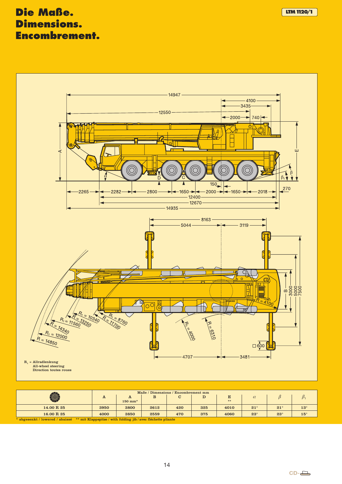### **Die Maße. LTM1120/1 LTM1120/1 LTM1120/1 Dimensions. Encombrement.**



|                                                                                                |                                                                                        |                            |      | Maße / Dimensions / Encombrement mm |     |         |              |            |            |  |  |  |  |  |
|------------------------------------------------------------------------------------------------|----------------------------------------------------------------------------------------|----------------------------|------|-------------------------------------|-----|---------|--------------|------------|------------|--|--|--|--|--|
| ۱                                                                                              | A                                                                                      | A<br>$150$ mm <sup>*</sup> | B    | С                                   | D   | E<br>** |              |            |            |  |  |  |  |  |
|                                                                                                |                                                                                        |                            |      |                                     |     |         |              |            |            |  |  |  |  |  |
| 14.00 R 25                                                                                     | 3950                                                                                   | 3800                       | 2612 | 420                                 | 325 | 4010    | $21^{\circ}$ | $21^\circ$ | $13^\circ$ |  |  |  |  |  |
| 16.00 R 25                                                                                     | 375<br>$23^\circ$<br>$15^{\circ}$<br>3850<br>4060<br>$23^\circ$<br>4000<br>2559<br>470 |                            |      |                                     |     |         |              |            |            |  |  |  |  |  |
| * abgesenkt / lowered / abaissé ** mit Klappspitze / with folding jib / avec fléchette pliante |                                                                                        |                            |      |                                     |     |         |              |            |            |  |  |  |  |  |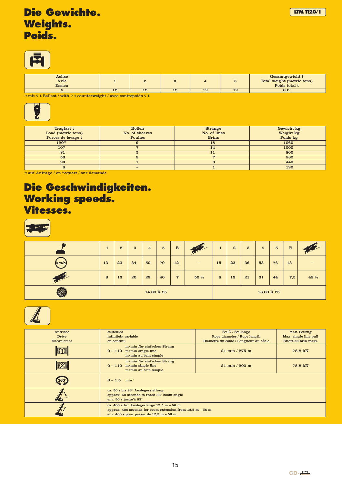

| ${\bf Achse}$<br>Axle<br><b>Essieu</b> |    |              |  |                | Gesamtgewicht t<br>Total weight (metric tons)<br>Poids total t |
|----------------------------------------|----|--------------|--|----------------|----------------------------------------------------------------|
|                                        | ᅩᄾ | $1\tilde{z}$ |  | $\overline{1}$ | $60^{1}$                                                       |

 $^{\rm 1)}$ mit 7 t Ballast / with 7 t counterweight / avec contrepoids 7 t



| Traglast t         | Rollen         | <b>Stränge</b> | Gewicht kg |
|--------------------|----------------|----------------|------------|
| Load (metric tons) | No. of sheaves | No. of lines   | Weight kg  |
| Forces de levage t | <b>Poulies</b> | <b>Brins</b>   | Poids kg   |
| $120^{2}$          |                | 18             | 1060       |
| 107                |                | 14             | 1000       |
| 81                 |                | 11             | 800        |
| 53                 |                |                | 560        |
| 23                 |                |                | 440        |
|                    |                |                | 190        |

2) auf Anfrage / on request / sur demande

### **Die Geschwindigkeiten. Working speeds. Vitesses.**

|        | $\mathbf{1}$ | $\mathbf{2}$ | $\mathbf{3}$ | $\overline{4}$ | $5\phantom{.0}$ | ${\bf R}$      | <b>START OF STRAIGHT</b> | $\mathbf{1}$ | $\boldsymbol{2}$ | $\boldsymbol{3}$ | $\overline{\mathbf{4}}$ | $5\overline{)}$ | $\mathbf R$ |      |
|--------|--------------|--------------|--------------|----------------|-----------------|----------------|--------------------------|--------------|------------------|------------------|-------------------------|-----------------|-------------|------|
| (km/h) | 13           | 23           | 34           | 50             | 70              | 12             | $\qquad \qquad -$        | 15           | 23               | 36               | 53                      | 76              | 13          | -    |
| 7      | $\bf{8}$     | 13           | 20           | 29             | 40              | $\overline{7}$ | 50 %                     | 8            | 13               | 21               | 31                      | 44              | 7,5         | 45 % |
| Ò,     |              |              |              | 14.00 R 25     |                 |                |                          |              |                  |                  | 16.00 R 25              |                 |             |      |



| Antriebe          | stufenlos                                                                         | SeilØ / Seillänge                     | Max. Seilzug          |
|-------------------|-----------------------------------------------------------------------------------|---------------------------------------|-----------------------|
| Drive             | infinitely variable                                                               | Rope diameter / Rope length           | Max. single line pull |
| <b>Mécanismes</b> | en continu                                                                        | Diamètre du câble / Longueur du câble | Effort au brin maxi.  |
|                   | m/min für einfachen Strang<br>$0 - 110$ m/min single line<br>m/min au brin simple | $21$ mm $/275$ m                      | 78,8 kN               |
| $R_2$             | m/min für einfachen Strang<br>$0 - 110$ m/min single line<br>m/min au brin simple | $21 \text{ mm} / 200 \text{ m}$       | 78,8 kN               |
| $360^\circ$       | $0 - 1.5$ min <sup>-1</sup>                                                       |                                       |                       |
|                   | ca. 50 s bis 83° Auslegerstellung                                                 |                                       |                       |
|                   | approx. 50 seconds to reach 83° boom angle                                        |                                       |                       |
|                   | env. 50 s jusqu'à 83°                                                             |                                       |                       |
|                   | ca. 400 s für Auslegerlänge 12,5 m - 56 m                                         |                                       |                       |
|                   | approx. 400 seconds for boom extension from $12.5$ m $-56$ m                      |                                       |                       |
|                   | env. 400 s pour passer de $12,5 m - 56 m$                                         |                                       |                       |
|                   |                                                                                   |                                       |                       |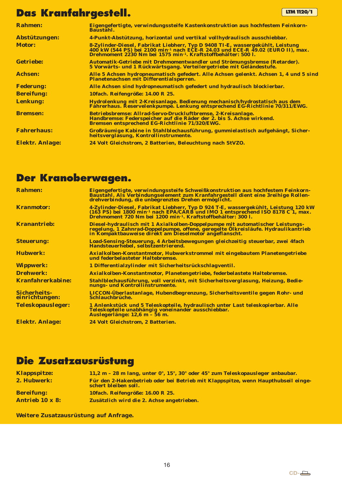### **Das Kranfahrgestell. LTM** 1120/1

| <b>Rahmen:</b>         | Eigengefertigte, verwindungssteife Kastenkonstruktion aus hochfestem Feinkorn-<br>Baustahl.                                                                                                                                                                 |
|------------------------|-------------------------------------------------------------------------------------------------------------------------------------------------------------------------------------------------------------------------------------------------------------|
| Abstützungen:          | 4-Punkt-Abstützung, horizontal und vertikal vollhydraulisch ausschiebbar.                                                                                                                                                                                   |
| <b>Motor:</b>          | 8-Zylinder-Diesel, Fabrikat Liebherr, Typ D 9408 TI-E, wassergekühlt, Leistung<br>400 kW (544 PS) bei 2100 min <sup>-1</sup> nach ECE-R 24.03 und ECE-R 49.02 (EURO II), max.<br>Drehmoment 2230 Nm bei 1575 min <sup>-1</sup> . Kraftstoffbehälter: 500 l. |
| <b>Getriebe:</b>       | Automatik-Getriebe mit Drehmomentwandler und Strömungsbremse (Retarder).<br>5 Vorwärts- und 1 Rückwärtsgang. Verteilergetriebe mit Geländestufe.                                                                                                            |
| <b>Achsen:</b>         | Alle 5 Achsen hydropneumatisch gefedert. Alle Achsen gelenkt. Achsen 1, 4 und 5 sind<br>Planetenachsen mit Differentialsperren.                                                                                                                             |
| <b>Federung:</b>       | Alle Achsen sind hydropneumatisch gefedert und hydraulisch blockierbar.                                                                                                                                                                                     |
| <b>Bereifung:</b>      | 10fach. Reifengröße: 14.00 R 25.                                                                                                                                                                                                                            |
| Lenkung:               | Hydrolenkung mit 2-Kreisanlage. Bedienung mechanisch/hydrostatisch aus dem<br>Fahrerhaus. Reservelenkpumpe. Lenkung entsprechend EG-Richtlinie 70/311/EWG.                                                                                                  |
| <b>Bremsen:</b>        | Betriebsbremse: Allrad-Servo-Druckluftbremse, 2-Kreisanlage.<br>Handbremse: Federspeicher auf die Räder der 2. bis 5. Achse wirkend.<br>Bremsen entsprechend EG-Richtlinie 71/320/EWG.                                                                      |
| <b>Fahrerhaus:</b>     | Großräumige Kabine in Stahlblechausführung, gummielastisch aufgehängt, Sicher-<br>heitsverglasung, Kontrollinstrumente.                                                                                                                                     |
| <b>Elektr. Anlage:</b> | 24 Volt Gleichstrom, 2 Batterien, Beleuchtung nach StVZO.                                                                                                                                                                                                   |

### **Der Kranoberwagen.**

| <b>Rahmen:</b>                        | Eigengefertigte, verwindungssteife Schweißkonstruktion aus hochfestem Feinkorn-<br>Baustahl. Als Verbindungselement zum Kranfahrgestell dient eine 3reihige Rollen-<br>drehverbindung, die unbegrenztes Drehen ermöglicht.                                      |
|---------------------------------------|-----------------------------------------------------------------------------------------------------------------------------------------------------------------------------------------------------------------------------------------------------------------|
| <b>Kranmotor:</b>                     | 4-Zylinder-Diesel, Fabrikat Liebherr, Typ D 924 T-E, wassergekühlt, Leistung 120 kW<br>(163 PS) bei 1800 min <sup>-1</sup> nach EPA/CARB und IMO 1 entsprechend ISO 8178 C 1, max.<br>Drehmoment 720 Nm bei 1200 min <sup>-1</sup> , Kraftstoffbehälter: 300 l. |
| <b>Kranantrieb:</b>                   | Diesel-hydraulisch mit 1 Axialkolben-Doppelpumpe mit automatischer Leistungs-<br>regelung, 1 Zahnrad-Doppelpumpe, offene, geregelte Ölkreisläufe. Hydraulikantrieb<br>in Kompaktbauweise direkt am Dieselmotor angeflanscht.                                    |
| <b>Steuerung:</b>                     | Load-Sensing-Steuerung, 4 Arbeitsbewegungen gleichzeitig steuerbar, zwei 4fach<br>Handsteuerhebel, selbstzentrierend.                                                                                                                                           |
| <b>Hubwerk:</b>                       | Axialkolben-Konstantmotor, Hubwerkstrommel mit eingebautem Planetengetriebe<br>und federbelasteter Haltebremse.                                                                                                                                                 |
| <b>Wippwerk:</b>                      | 1 Differentialzylinder mit Sicherheitsrückschlagventil.                                                                                                                                                                                                         |
| <b>Drehwerk:</b>                      | Axialkolben-Konstantmotor, Planetengetriebe, federbelastete Haltebremse.                                                                                                                                                                                        |
| <b>Kranfahrerkabine:</b>              | Stahlblechausführung, voll verzinkt, mit Sicherheitsverglasung, Heizung, Bedie-<br>nungs- und Kontrollinstrumente.                                                                                                                                              |
| <b>Sicherheits-</b><br>einrichtungen: | LICCON-Überlastanlage, Hubendbegrenzung, Sicherheitsventile gegen Rohr- und<br>Schlauchbrüche.                                                                                                                                                                  |
| <b>Teleskopausleger:</b>              | 1 Anlenkstück und 5 Teleskopteile, hydraulisch unter Last teleskopierbar. Alle<br>Teleskopteile unabhängig voneinander ausschiebbar.<br>Auslegerlänge: 12,6 m – 56 m.                                                                                           |
| <b>Elektr. Anlage:</b>                | 24 Volt Gleichstrom, 2 Batterien.                                                                                                                                                                                                                               |

### **Die Zusatzausrüstung**

| <b>Klappspitze:</b>    | 11,2 m - 28 m lang, unter 0°, 15°, 30° oder 45° zum Teleskopausleger anbaubar.                            |
|------------------------|-----------------------------------------------------------------------------------------------------------|
| 2. Hubwerk:            | Für den 2-Hakenbetrieb oder bei Betrieb mit Klappspitze, wenn Haupthubseil einge-<br>schert bleiben soll. |
| <b>Bereifung:</b>      | 10fach. Reifengröße: 16.00 R 25.                                                                          |
| <b>Antrieb 10 x 8:</b> | Zusätzlich wird die 2. Achse angetrieben.                                                                 |

**Weitere Zusatzausrüstung auf Anfrage.**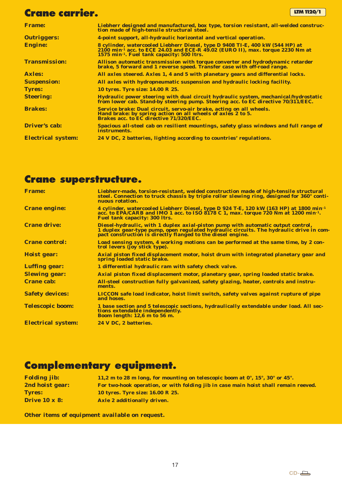### **Crane carrier. LTM** 1120/1

| <b>Frame:</b>             | Liebherr designed and manufactured, box type, torsion resistant, all-welded construc-<br>tion made of high-tensile structural steel.                                                                                                  |
|---------------------------|---------------------------------------------------------------------------------------------------------------------------------------------------------------------------------------------------------------------------------------|
| <b>Outriggers:</b>        | 4-point support, all-hydraulic horizontal and vertical operation.                                                                                                                                                                     |
| <b>Engine:</b>            | 8 cylinder, watercooled Liebherr Diesel, type D 9408 TI-E, 400 kW (544 HP) at<br>2100 min <sup>-1</sup> acc. to ECE 24.03 and ECE-R 49.02 (EURO II), max. torque 2230 Nm at<br>1575 min <sup>-1</sup> . Fuel tank capacity: 500 ltrs. |
| <b>Transmission:</b>      | Allison automatic transmission with torque converter and hydrodynamic retarder<br>brake, 5 forward and 1 reverse speed. Transfer case with off-road range.                                                                            |
| <b>Axles:</b>             | All axles steered. Axles 1, 4 and 5 with planetary gears and differential locks.                                                                                                                                                      |
| <b>Suspension:</b>        | All axles with hydropneumatic suspension and hydraulic locking facility.                                                                                                                                                              |
| <b>Tyres:</b>             | 10 tyres. Tyre size: 14.00 R 25.                                                                                                                                                                                                      |
| <b>Steering:</b>          | Hydraulic power steering with dual circuit hydraulic system, mechanical/hydrostatic<br>from lower cab. Stand-by steering pump. Steering acc. to EC directive 70/311/EEC.                                                              |
| <b>Brakes:</b>            | Service brake: Dual circuit, servo-air brake, acting on all wheels.<br>Hand brake: by spring action on all wheels of axles 2 to 5.<br><b>Brakes acc. to EC directive 71/320/EEC.</b>                                                  |
| <b>Driver's cab:</b>      | Spacious all-steel cab on resilient mountings, safety glass windows and full range of<br>instruments.                                                                                                                                 |
| <b>Electrical system:</b> | 24 V DC, 2 batteries, lighting according to countries' regulations.                                                                                                                                                                   |

### **Crane superstructure.**

| <b>Frame:</b>             | Liebherr-made, torsion-resistant, welded construction made of high-tensile structural<br>steel. Connection to truck chassis by triple roller slewing ring, designed for 360° conti-<br>nuous rotation.                                        |
|---------------------------|-----------------------------------------------------------------------------------------------------------------------------------------------------------------------------------------------------------------------------------------------|
| <b>Crane engine:</b>      | 4 cylinder, watercooled Liebherr Diesel, type D 924 T-E, 120 kW (163 HP) at 1800 min <sup>-1</sup><br>acc. to EPA/CARB and IMO 1 acc. to ISO 8178 C 1, max. torque 720 Nm at 1200 min <sup>-1</sup> .<br><b>Fuel tank capacity: 300 ltrs.</b> |
| <b>Crane drive:</b>       | Diesel-hydraulic, with 1 duplex axial-piston pump with automatic output control,<br>1 duplex gear-type pump, open regulated hydraulic circuits. The hydraulic drive in com-<br>pact construction is directly flanged to the diesel engine.    |
| <b>Crane control:</b>     | Load sensing system, 4 working motions can be performed at the same time, by 2 con-<br>trol levers (joy stick type).                                                                                                                          |
| <b>Hoist gear:</b>        | Axial piston fixed displacement motor, hoist drum with integrated planetary gear and<br>spring loaded static brake.                                                                                                                           |
| <b>Luffing gear:</b>      | 1 differential hydraulic ram with safety check valve.                                                                                                                                                                                         |
| <b>Slewing gear:</b>      | Axial piston fixed displacement motor, planetary gear, spring loaded static brake.                                                                                                                                                            |
| <b>Crane cab:</b>         | All-steel construction fully galvanized, safety glazing, heater, controls and instru-<br>ments.                                                                                                                                               |
| <b>Safety devices:</b>    | LICCON safe load indicator, hoist limit switch, safety valves against rupture of pipe<br>and hoses.                                                                                                                                           |
| <b>Telescopic boom:</b>   | 1 base section and 5 telescopic sections, hydraulically extendable under load. All sec-<br>tions extendable independently.<br>Boom length: 12,6 m to 56 m.                                                                                    |
| <b>Electrical system:</b> | 24 V DC, 2 batteries.                                                                                                                                                                                                                         |

### **Complementary equipment.**

| <b>Folding jib:</b>  | 11.2 m to 28 m long, for mounting on telescopic boom at $0^\circ$ , $15^\circ$ , $30^\circ$ or $45^\circ$ . |
|----------------------|-------------------------------------------------------------------------------------------------------------|
| 2nd hoist gear:      | For two-hook operation, or with folding jib in case main hoist shall remain reeved.                         |
| <b>Tyres:</b>        | <b>10 tyres. Tyre size: 16.00 R 25.</b>                                                                     |
| <b>Drive 10 x 8:</b> | Axle 2 additionally driven.                                                                                 |

**Other items of equipment available on request.**